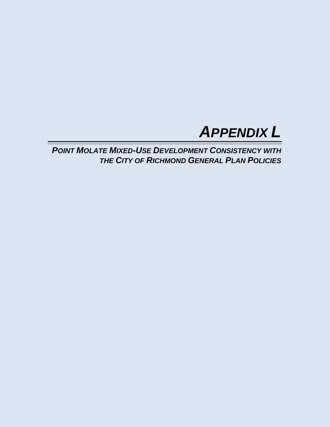

*POINT MOLATE MIXED-USE DEVELOPMENT CONSISTENCY WITH THE CITY OF RICHMOND GENERAL PLAN POLICIES*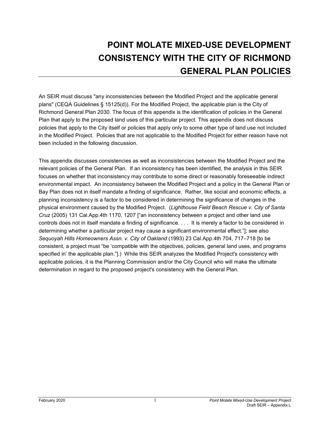## **POINT MOLATE MIXED-USE DEVELOPMENT CONSISTENCY WITH THE CITY OF RICHMOND GENERAL PLAN POLICIES**

An SEIR must discuss "any inconsistencies between the Modified Project and the applicable general plans" (CEQA Guidelines § 15125(d)). For the Modified Project, the applicable plan is the City of Richmond General Plan 2030. The focus of this appendix is the identification of policies in the General Plan that apply to the proposed land uses of this particular project. This appendix does not discuss policies that apply to the City itself or policies that apply only to some other type of land use not included in the Modified Project. Policies that are not applicable to the Modified Project for either reason have not been included in the following discussion.

This appendix discusses consistencies as well as inconsistencies between the Modified Project and the relevant policies of the General Plan. If an inconsistency has been identified, the analysis in this SEIR focuses on whether that inconsistency may contribute to some direct or reasonably foreseeable indirect environmental impact. An inconsistency between the Modified Project and a policy in the General Plan or Bay Plan does not in itself mandate a finding of significance. Rather, like social and economic effects, a planning inconsistency is a factor to be considered in determining the significance of changes in the physical environment caused by the Modified Project. (*Lighthouse Field Beach Rescue v. City of Santa Cruz* (2005) 131 Cal.App.4th 1170, 1207 ["an inconsistency between a project and other land use controls does not in itself mandate a finding of significance. . . . It is merely a factor to be considered in determining whether a particular project may cause a significant environmental effect."]; see also *Sequoyah Hills Homeowners Assn. v. City of Oakland* (1993) 23 Cal.App.4th 704, 717–718 [to be consistent, a project must "be 'compatible with the objectives, policies, general land uses, and programs specified in' the applicable plan."].) While this SEIR analyzes the Modified Project's consistency with applicable policies, it is the Planning Commission and/or the City Council who will make the ultimate determination in regard to the proposed project's consistency with the General Plan.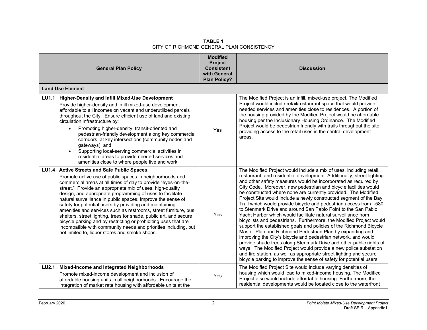|              | <b>General Plan Policy</b>                                                                                                                                                                                                                                                                                                                                                                                                                                                                                                                                                                                                                                                                                                                                     | <b>Modified</b><br>Project<br><b>Consistent</b><br>with General<br><b>Plan Policy?</b> | <b>Discussion</b>                                                                                                                                                                                                                                                                                                                                                                                                                                                                                                                                                                                                                                                                                                                                                                                                                                                                                                                                                                                                                                                                                                                                                                                       |
|--------------|----------------------------------------------------------------------------------------------------------------------------------------------------------------------------------------------------------------------------------------------------------------------------------------------------------------------------------------------------------------------------------------------------------------------------------------------------------------------------------------------------------------------------------------------------------------------------------------------------------------------------------------------------------------------------------------------------------------------------------------------------------------|----------------------------------------------------------------------------------------|---------------------------------------------------------------------------------------------------------------------------------------------------------------------------------------------------------------------------------------------------------------------------------------------------------------------------------------------------------------------------------------------------------------------------------------------------------------------------------------------------------------------------------------------------------------------------------------------------------------------------------------------------------------------------------------------------------------------------------------------------------------------------------------------------------------------------------------------------------------------------------------------------------------------------------------------------------------------------------------------------------------------------------------------------------------------------------------------------------------------------------------------------------------------------------------------------------|
|              | <b>Land Use Element</b>                                                                                                                                                                                                                                                                                                                                                                                                                                                                                                                                                                                                                                                                                                                                        |                                                                                        |                                                                                                                                                                                                                                                                                                                                                                                                                                                                                                                                                                                                                                                                                                                                                                                                                                                                                                                                                                                                                                                                                                                                                                                                         |
| <b>LU1.1</b> | <b>Higher-Density and Infill Mixed-Use Development</b><br>Provide higher-density and infill mixed-use development<br>affordable to all incomes on vacant and underutilized parcels<br>throughout the City. Ensure efficient use of land and existing<br>circulation infrastructure by:<br>Promoting higher-density, transit-oriented and<br>$\bullet$<br>pedestrian-friendly development along key commercial<br>corridors, at key intersections (community nodes and<br>gateways); and<br>Supporting local-serving commercial activities in<br>$\bullet$<br>residential areas to provide needed services and<br>amenities close to where people live and work.                                                                                                | Yes                                                                                    | The Modified Project is an infill, mixed-use project. The Modified<br>Project would include retail/restaurant space that would provide<br>needed services and amenities close to residences. A portion of<br>the housing provided by the Modified Project would be affordable<br>housing per the Inclusionary Housing Ordinance. The Modified<br>Project would be pedestrian friendly with trails throughout the site,<br>providing access to the retail uses in the central development<br>areas.                                                                                                                                                                                                                                                                                                                                                                                                                                                                                                                                                                                                                                                                                                      |
|              | LU1.4 Active Streets and Safe Public Spaces.<br>Promote active use of public spaces in neighborhoods and<br>commercial areas at all times of day to provide "eyes-on-the-<br>street." Provide an appropriate mix of uses, high-quality<br>design, and appropriate programming of uses to facilitate<br>natural surveillance in public spaces. Improve the sense of<br>safety for potential users by providing and maintaining<br>amenities and services such as restrooms, street furniture, bus<br>shelters, street lighting, trees for shade, public art, and secure<br>bicycle parking and by restricting or prohibiting uses that are<br>incompatible with community needs and priorities including, but<br>not limited to, liquor stores and smoke shops. | Yes                                                                                    | The Modified Project would include a mix of uses, including retail,<br>restaurant, and residential development. Additionally, street lighting<br>and other safety measures would be incorporated as required by<br>City Code. Moreover, new pedestrian and bicycle facilities would<br>be constructed where none are currently provided. The Modified<br>Project Site would include a newly constructed segment of the Bay<br>Trail which would provide bicycle and pedestrian access from I-580<br>to Stenmark Drive and around San Pablo Point to the San Pablo<br>Yacht Harbor which would facilitate natural surveillance from<br>bicyclists and pedestrians. Furthermore, the Modified Project would<br>support the established goals and policies of the Richmond Bicycle<br>Master Plan and Richmond Pedestrian Plan by expanding and<br>improving the City's bicycle and pedestrian network, and would<br>provide shade trees along Stenmark Drive and other public rights of<br>ways. The Modified Project would provide a new police substation<br>and fire station, as well as appropriate street lighting and secure<br>bicycle parking to improve the sense of safety for potential users. |
| <b>LU2.1</b> | Mixed-Income and Integrated Neighborhoods<br>Promote mixed-income development and inclusion of<br>affordable housing units in all neighborhoods. Encourage the<br>integration of market rate housing with affordable units at the                                                                                                                                                                                                                                                                                                                                                                                                                                                                                                                              | Yes                                                                                    | The Modified Project Site would include varying densities of<br>housing which would lead to mixed-income housing. The Modified<br>Project also would include affordable housing. Furthermore, the<br>residential developments would be located close to the waterfront                                                                                                                                                                                                                                                                                                                                                                                                                                                                                                                                                                                                                                                                                                                                                                                                                                                                                                                                  |

**TABLE 1** CITY OF RICHMOND GENERAL PLAN CONSISTENCY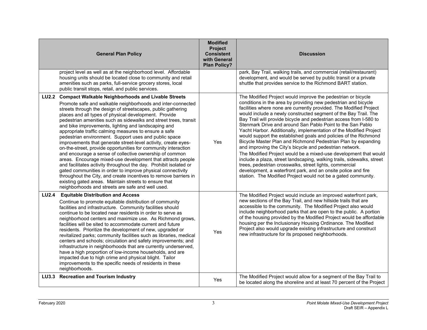|              | <b>General Plan Policy</b>                                                                                                                                                                                                                                                                                                                                                                                                                                                                                                                                                                                                                                                                                                                                                                                                                                                                                                                                                                                                                                                         | <b>Modified</b><br>Project<br><b>Consistent</b><br>with General<br><b>Plan Policy?</b> | <b>Discussion</b>                                                                                                                                                                                                                                                                                                                                                                                                                                                                                                                                                                                                                                                                                                                                                                                                                                                                                                                                                                                                             |
|--------------|------------------------------------------------------------------------------------------------------------------------------------------------------------------------------------------------------------------------------------------------------------------------------------------------------------------------------------------------------------------------------------------------------------------------------------------------------------------------------------------------------------------------------------------------------------------------------------------------------------------------------------------------------------------------------------------------------------------------------------------------------------------------------------------------------------------------------------------------------------------------------------------------------------------------------------------------------------------------------------------------------------------------------------------------------------------------------------|----------------------------------------------------------------------------------------|-------------------------------------------------------------------------------------------------------------------------------------------------------------------------------------------------------------------------------------------------------------------------------------------------------------------------------------------------------------------------------------------------------------------------------------------------------------------------------------------------------------------------------------------------------------------------------------------------------------------------------------------------------------------------------------------------------------------------------------------------------------------------------------------------------------------------------------------------------------------------------------------------------------------------------------------------------------------------------------------------------------------------------|
|              | project level as well as at the neighborhood level. Affordable<br>housing units should be located close to community and retail<br>amenities such as parks, full-service grocery stores, local<br>public transit stops, retail, and public services.                                                                                                                                                                                                                                                                                                                                                                                                                                                                                                                                                                                                                                                                                                                                                                                                                               |                                                                                        | park, Bay Trail, walking trails, and commercial (retail/restaurant)<br>development, and would be served by public transit or a private<br>shuttle that provides service to the Richmond BART station.                                                                                                                                                                                                                                                                                                                                                                                                                                                                                                                                                                                                                                                                                                                                                                                                                         |
| <b>LU2.2</b> | <b>Compact Walkable Neighborhoods and Livable Streets</b><br>Promote safe and walkable neighborhoods and inter-connected<br>streets through the design of streetscapes, public gathering<br>places and all types of physical development. Provide<br>pedestrian amenities such as sidewalks and street trees, transit<br>and bike improvements, lighting and landscaping and<br>appropriate traffic calming measures to ensure a safe<br>pedestrian environment. Support uses and public space<br>improvements that generate street-level activity, create eyes-<br>on-the-street, provide opportunities for community interaction<br>and encourage a sense of collective ownership of common<br>areas. Encourage mixed-use development that attracts people<br>and facilitates activity throughout the day. Prohibit isolated or<br>gated communities in order to improve physical connectivity<br>throughout the City, and create incentives to remove barriers in<br>existing gated areas. Maintain streets to ensure that<br>neighborhoods and streets are safe and well used. | Yes                                                                                    | The Modified Project would improve the pedestrian or bicycle<br>conditions in the area by providing new pedestrian and bicycle<br>facilities where none are currently provided. The Modified Project<br>would include a newly constructed segment of the Bay Trail. The<br>Bay Trail will provide bicycle and pedestrian access from I-580 to<br>Stenmark Drive and around San Pablo Point to the San Pablo<br>Yacht Harbor. Additionally, implementation of the Modified Project<br>would support the established goals and policies of the Richmond<br>Bicycle Master Plan and Richmond Pedestrian Plan by expanding<br>and improving the City's bicycle and pedestrian network.<br>The Modified Project would be a mixed-use development that would<br>include a plaza, street landscaping, walking trails, sidewalks, street<br>trees, pedestrian crosswalks, street lights, commercial<br>development, a waterfront park, and an onsite police and fire<br>station. The Modified Project would not be a gated community. |
| <b>LU2.4</b> | <b>Equitable Distribution and Access</b><br>Continue to promote equitable distribution of community<br>facilities and infrastructure. Community facilities should<br>continue to be located near residents in order to serve as<br>neighborhood centers and maximize use. As Richmond grows,<br>facilities will be sited to accommodate current and future<br>residents. Prioritize the development of new, upgraded or<br>revitalized parks; community facilities such as libraries, medical<br>centers and schools; circulation and safety improvements; and<br>infrastructure in neighborhoods that are currently underserved,<br>have a high proportion of low-income households, and are<br>impacted due to high crime and physical blight. Tailor<br>improvements to the specific needs of residents in these<br>neighborhoods.                                                                                                                                                                                                                                              | Yes                                                                                    | The Modified Project would include an improved waterfront park,<br>new sections of the Bay Trail, and new hillside trails that are<br>accessible to the community. The Modified Project also would<br>include neighborhood parks that are open to the public. A portion<br>of the housing provided by the Modified Project would be affordable<br>housing per the Inclusionary Housing Ordinance. The Modified<br>Project also would upgrade existing infrastructure and construct<br>new infrastructure for its proposed neighborhoods.                                                                                                                                                                                                                                                                                                                                                                                                                                                                                      |
| <b>LU3.3</b> | <b>Recreation and Tourism Industry</b>                                                                                                                                                                                                                                                                                                                                                                                                                                                                                                                                                                                                                                                                                                                                                                                                                                                                                                                                                                                                                                             | Yes                                                                                    | The Modified Project would allow for a segment of the Bay Trail to<br>be located along the shoreline and at least 70 percent of the Project                                                                                                                                                                                                                                                                                                                                                                                                                                                                                                                                                                                                                                                                                                                                                                                                                                                                                   |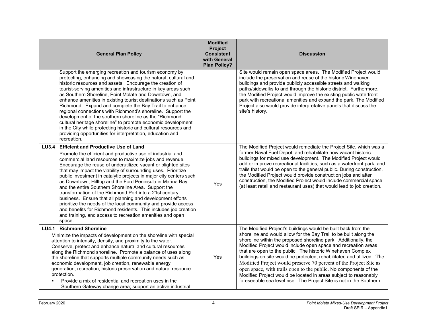| <b>General Plan Policy</b>                                                                                                                                                                                                                                                                                                                                                                                                                                                                                                                                                                                                                                                                                                                                                                                                                            | <b>Modified</b><br>Project<br><b>Consistent</b><br>with General<br><b>Plan Policy?</b> | <b>Discussion</b>                                                                                                                                                                                                                                                                                                                                                                                                                                                                                                                                                                                                                                                                                   |
|-------------------------------------------------------------------------------------------------------------------------------------------------------------------------------------------------------------------------------------------------------------------------------------------------------------------------------------------------------------------------------------------------------------------------------------------------------------------------------------------------------------------------------------------------------------------------------------------------------------------------------------------------------------------------------------------------------------------------------------------------------------------------------------------------------------------------------------------------------|----------------------------------------------------------------------------------------|-----------------------------------------------------------------------------------------------------------------------------------------------------------------------------------------------------------------------------------------------------------------------------------------------------------------------------------------------------------------------------------------------------------------------------------------------------------------------------------------------------------------------------------------------------------------------------------------------------------------------------------------------------------------------------------------------------|
| Support the emerging recreation and tourism economy by<br>protecting, enhancing and showcasing the natural, cultural and<br>historic resources and assets. Encourage the creation of<br>tourist-serving amenities and infrastructure in key areas such<br>as Southern Shoreline, Point Molate and Downtown, and<br>enhance amenities in existing tourist destinations such as Point<br>Richmond. Expand and complete the Bay Trail to enhance<br>regional connections with Richmond's shoreline. Support the<br>development of the southern shoreline as the "Richmond<br>cultural heritage shoreline" to promote economic development<br>in the City while protecting historic and cultural resources and<br>providing opportunities for interpretation, education and<br>recreation.                                                                |                                                                                        | Site would remain open space areas. The Modified Project would<br>include the preservation and reuse of the historic Winehaven<br>buildings and provide publicly accessible streets and walking<br>paths/sidewalks to and through the historic district. Furthermore,<br>the Modified Project would improve the existing public waterfront<br>park with recreational amenities and expand the park. The Modified<br>Project also would provide interpretative panels that discuss the<br>site's history.                                                                                                                                                                                            |
| <b>Efficient and Productive Use of Land</b><br><b>LU3.4</b><br>Promote the efficient and productive use of industrial and<br>commercial land resources to maximize jobs and revenue.<br>Encourage the reuse of underutilized vacant or blighted sites<br>that may impact the viability of surrounding uses. Prioritize<br>public investment in catalytic projects in major city centers such<br>as Downtown, Hilltop and the Ford Peninsula in Marina Bay<br>and the entire Southern Shoreline Area. Support the<br>transformation of the Richmond Port into a 21st century<br>business. Ensure that all planning and development efforts<br>prioritize the needs of the local community and provide access<br>and benefits for Richmond residents. This includes job creation<br>and training, and access to recreation amenities and open<br>space. | Yes                                                                                    | The Modified Project would remediate the Project Site, which was a<br>former Naval Fuel Depot, and rehabilitate now vacant historic<br>buildings for mixed use development. The Modified Project would<br>add or improve recreational facilities, such as a waterfront park, and<br>trails that would be open to the general public. During construction,<br>the Modified Project would provide construction jobs and after<br>construction, the Modified Project would include commercial space<br>(at least retail and restaurant uses) that would lead to job creation.                                                                                                                          |
| LU4.1 Richmond Shoreline<br>Minimize the impacts of development on the shoreline with special<br>attention to intensity, density, and proximity to the water.<br>Conserve, protect and enhance natural and cultural resources<br>along the Richmond shoreline. Promote a balance of uses along<br>the shoreline that supports multiple community needs such as<br>economic development, job creation, renewable energy<br>generation, recreation, historic preservation and natural resource<br>protection.<br>Provide a mix of residential and recreation uses in the<br>Southern Gateway change area; support an active industrial                                                                                                                                                                                                                  | Yes                                                                                    | The Modified Project's buildings would be built back from the<br>shoreline and would allow for the Bay Trail to be built along the<br>shoreline within the proposed shoreline park. Additionally, the<br>Modified Project would include open space and recreation areas<br>that are open to the public. The historic Winehaven Complex<br>buildings on site would be protected, rehabilitated and utilized. The<br>Modified Project would preserve 70 percent of the Project Site as<br>open space, with trails open to the public. No components of the<br>Modified Project would be located in areas subject to reasonably<br>foreseeable sea level rise. The Project Site is not in the Southern |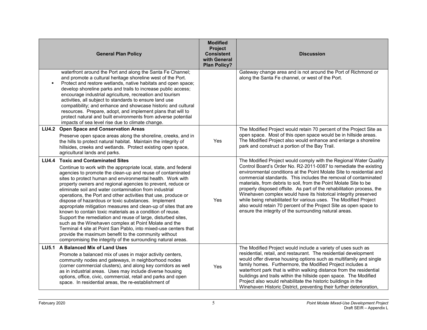|              | <b>General Plan Policy</b>                                                                                                                                                                                                                                                                                                                                                                                                                                                                                                                                                                                                                                                                                                                                                                                                                                                                                                              | <b>Modified</b><br>Project<br><b>Consistent</b><br>with General<br><b>Plan Policy?</b> | <b>Discussion</b>                                                                                                                                                                                                                                                                                                                                                                                                                                                                                                                                                                                                                                                                                   |
|--------------|-----------------------------------------------------------------------------------------------------------------------------------------------------------------------------------------------------------------------------------------------------------------------------------------------------------------------------------------------------------------------------------------------------------------------------------------------------------------------------------------------------------------------------------------------------------------------------------------------------------------------------------------------------------------------------------------------------------------------------------------------------------------------------------------------------------------------------------------------------------------------------------------------------------------------------------------|----------------------------------------------------------------------------------------|-----------------------------------------------------------------------------------------------------------------------------------------------------------------------------------------------------------------------------------------------------------------------------------------------------------------------------------------------------------------------------------------------------------------------------------------------------------------------------------------------------------------------------------------------------------------------------------------------------------------------------------------------------------------------------------------------------|
|              | waterfront around the Port and along the Santa Fe Channel;<br>and promote a cultural heritage shoreline west of the Port.<br>Protect and restore wetlands, native habitats and open space;<br>develop shoreline parks and trails to increase public access;<br>encourage industrial agriculture, recreation and tourism<br>activities, all subject to standards to ensure land use<br>compatibility; and enhance and showcase historic and cultural<br>resources. Prepare, adopt, and implement plans that will to<br>protect natural and built environments from adverse potential<br>impacts of sea level rise due to climate change.                                                                                                                                                                                                                                                                                                 |                                                                                        | Gateway change area and is not around the Port of Richmond or<br>along the Santa Fe channel, or west of the Port.                                                                                                                                                                                                                                                                                                                                                                                                                                                                                                                                                                                   |
| <b>LU4.2</b> | <b>Open Space and Conservation Areas</b><br>Preserve open space areas along the shoreline, creeks, and in<br>the hills to protect natural habitat. Maintain the integrity of<br>hillsides, creeks and wetlands. Protect existing open space,<br>agricultural lands and parks.                                                                                                                                                                                                                                                                                                                                                                                                                                                                                                                                                                                                                                                           | Yes                                                                                    | The Modified Project would retain 70 percent of the Project Site as<br>open space. Most of this open space would be in hillside areas.<br>The Modified Project also would enhance and enlarge a shoreline<br>park and construct a portion of the Bay Trail.                                                                                                                                                                                                                                                                                                                                                                                                                                         |
| <b>LU4.4</b> | <b>Toxic and Contaminated Sites</b><br>Continue to work with the appropriate local, state, and federal<br>agencies to promote the clean-up and reuse of contaminated<br>sites to protect human and environmental health. Work with<br>property owners and regional agencies to prevent, reduce or<br>eliminate soil and water contamination from industrial<br>operations, the Port and other activities that use, produce or<br>dispose of hazardous or toxic substances. Implement<br>appropriate mitigation measures and clean-up of sites that are<br>known to contain toxic materials as a condition of reuse.<br>Support the remediation and reuse of large, disturbed sites,<br>such as the Winehaven complex at Point Molate and the<br>Terminal 4 site at Point San Pablo, into mixed-use centers that<br>provide the maximum benefit to the community without<br>compromising the integrity of the surrounding natural areas. | Yes                                                                                    | The Modified Project would comply with the Regional Water Quality<br>Control Board's Order No. R2-2011-0087 to remediate the existing<br>environmental conditions at the Point Molate Site to residential and<br>commercial standards. This includes the removal of contaminated<br>materials, from debris to soil, from the Point Molate Site to be<br>properly disposed offsite. As part of the rehabilitation process, the<br>Winehaven complex would have its historical integrity preserved<br>while being rehabilitated for various uses. The Modified Project<br>also would retain 70 percent of the Project Site as open space to<br>ensure the integrity of the surrounding natural areas. |
| <b>LU5.1</b> | A Balanced Mix of Land Uses<br>Promote a balanced mix of uses in major activity centers,<br>community nodes and gateways, in neighborhood nodes<br>(corner commercial clusters), and along key corridors as well<br>as in industrial areas. Uses may include diverse housing<br>options, office, civic, commercial, retail and parks and open<br>space. In residential areas, the re-establishment of                                                                                                                                                                                                                                                                                                                                                                                                                                                                                                                                   | Yes                                                                                    | The Modified Project would include a variety of uses such as<br>residential, retail, and restaurant. The residential development<br>would offer diverse housing options such as multifamily and single<br>family homes. Furthermore, the Modified Project includes a<br>waterfront park that is within walking distance from the residential<br>buildings and trails within the hillside open space. The Modified<br>Project also would rehabilitate the historic buildings in the<br>Winehaven Historic District, preventing their further deterioration,                                                                                                                                          |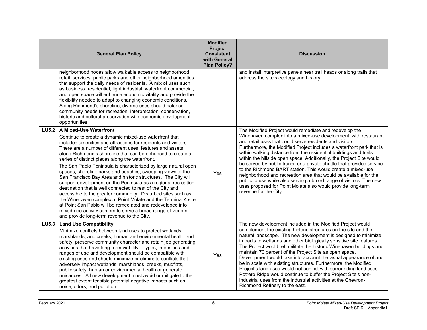|              | <b>General Plan Policy</b>                                                                                                                                                                                                                                                                                                                                                                                                                                                                                                                                                                                                                                                                                                                                                                                                                                                                                                                                                            | <b>Modified</b><br>Project<br><b>Consistent</b><br>with General<br><b>Plan Policy?</b> | <b>Discussion</b>                                                                                                                                                                                                                                                                                                                                                                                                                                                                                                                                                                                                                                                                                                                                                                          |
|--------------|---------------------------------------------------------------------------------------------------------------------------------------------------------------------------------------------------------------------------------------------------------------------------------------------------------------------------------------------------------------------------------------------------------------------------------------------------------------------------------------------------------------------------------------------------------------------------------------------------------------------------------------------------------------------------------------------------------------------------------------------------------------------------------------------------------------------------------------------------------------------------------------------------------------------------------------------------------------------------------------|----------------------------------------------------------------------------------------|--------------------------------------------------------------------------------------------------------------------------------------------------------------------------------------------------------------------------------------------------------------------------------------------------------------------------------------------------------------------------------------------------------------------------------------------------------------------------------------------------------------------------------------------------------------------------------------------------------------------------------------------------------------------------------------------------------------------------------------------------------------------------------------------|
|              | neighborhood nodes allow walkable access to neighborhood<br>retail, services, public parks and other neighborhood amenities<br>that support the daily needs of residents. A mix of uses such<br>as business, residential, light industrial, waterfront commercial,<br>and open space will enhance economic vitality and provide the<br>flexibility needed to adapt to changing economic conditions.<br>Along Richmond's shoreline, diverse uses should balance<br>community needs for recreation, interpretation, conservation,<br>historic and cultural preservation with economic development<br>opportunities.                                                                                                                                                                                                                                                                                                                                                                     |                                                                                        | and install interpretive panels near trail heads or along trails that<br>address the site's ecology and history.                                                                                                                                                                                                                                                                                                                                                                                                                                                                                                                                                                                                                                                                           |
|              | LU5.2 A Mixed-Use Waterfront<br>Continue to create a dynamic mixed-use waterfront that<br>includes amenities and attractions for residents and visitors.<br>There are a number of different uses, features and assets<br>along Richmond's shoreline that can be enhanced to create a<br>series of distinct places along the waterfront.<br>The San Pablo Peninsula is characterized by large natural open<br>spaces, shoreline parks and beaches, sweeping views of the<br>San Francisco Bay Area and historic structures. The City will<br>support development on the Peninsula as a regional recreation<br>destination that is well connected to rest of the City and<br>accessible to the greater community. Disturbed sites such as<br>the Winehaven complex at Point Molate and the Terminal 4 site<br>at Point San Pablo will be remediated and redeveloped into<br>mixed-use activity centers to serve a broad range of visitors<br>and provide long-term revenue to the City. | Yes                                                                                    | The Modified Project would remediate and redevelop the<br>Winehaven complex into a mixed-use development, with restaurant<br>and retail uses that could serve residents and visitors.<br>Furthermore, the Modified Project includes a waterfront park that is<br>within walking distance from the residential buildings and trails<br>within the hillside open space. Additionally, the Project Site would<br>be served by public transit or a private shuttle that provides service<br>to the Richmond BART station. This would create a mixed-use<br>neighborhood and recreation area that would be available for the<br>public to use while also serving a broad range of visitors. The new<br>uses proposed for Point Molate also would provide long-term<br>revenue for the City.     |
| <b>LU5.3</b> | <b>Land Use Compatibility</b><br>Minimize conflicts between land uses to protect wetlands,<br>marshlands, and creeks, human and environmental health and<br>safety, preserve community character and retain job generating<br>activities that have long-term viability. Types, intensities and<br>ranges of use and development should be compatible with<br>existing uses and should minimize or eliminate conflicts that<br>adversely impact wetlands, marshlands, creeks, mudflats,<br>public safety, human or environmental health or generate<br>nuisances. All new development must avoid or mitigate to the<br>greatest extent feasible potential negative impacts such as<br>noise, odors, and pollution.                                                                                                                                                                                                                                                                     | Yes                                                                                    | The new development included in the Modified Project would<br>complement the existing historic structures on the site and the<br>natural landscape. The new development is designed to minimize<br>impacts to wetlands and other biologically sensitive site features.<br>The Project would rehabilitate the historic Winehaven buildings and<br>maintain 70 percent of the Project Site as open space.<br>Development would take into account the visual appearance of and<br>be in scale with existing structures. Furthermore, the Modified<br>Project's land uses would not conflict with surrounding land uses.<br>Potrero Ridge would continue to buffer the Project Site's non-<br>industrial uses from the industrial activities at the Chevron-<br>Richmond Refinery to the east. |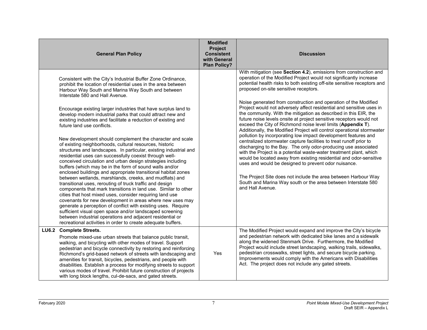|              | <b>General Plan Policy</b>                                                                                                                                                                                                                                                                                                                                                                                                                                                                                                                                                                                                                                                                                                                                                                                                                                                                                                                                                                                                                                                                                                                                                                                                                                                                                                                                                                                                                                                            | <b>Modified</b><br>Project<br><b>Consistent</b><br>with General<br><b>Plan Policy?</b> | <b>Discussion</b>                                                                                                                                                                                                                                                                                                                                                                                                                                                                                                                                                                                                                                                                                                                                                                                                                                                                                                                                                                                                                                                                                                                                                                                                                                                  |
|--------------|---------------------------------------------------------------------------------------------------------------------------------------------------------------------------------------------------------------------------------------------------------------------------------------------------------------------------------------------------------------------------------------------------------------------------------------------------------------------------------------------------------------------------------------------------------------------------------------------------------------------------------------------------------------------------------------------------------------------------------------------------------------------------------------------------------------------------------------------------------------------------------------------------------------------------------------------------------------------------------------------------------------------------------------------------------------------------------------------------------------------------------------------------------------------------------------------------------------------------------------------------------------------------------------------------------------------------------------------------------------------------------------------------------------------------------------------------------------------------------------|----------------------------------------------------------------------------------------|--------------------------------------------------------------------------------------------------------------------------------------------------------------------------------------------------------------------------------------------------------------------------------------------------------------------------------------------------------------------------------------------------------------------------------------------------------------------------------------------------------------------------------------------------------------------------------------------------------------------------------------------------------------------------------------------------------------------------------------------------------------------------------------------------------------------------------------------------------------------------------------------------------------------------------------------------------------------------------------------------------------------------------------------------------------------------------------------------------------------------------------------------------------------------------------------------------------------------------------------------------------------|
|              | Consistent with the City's Industrial Buffer Zone Ordinance,<br>prohibit the location of residential uses in the area between<br>Harbour Way South and Marina Way South and between<br>Interstate 580 and Hall Avenue.<br>Encourage existing larger industries that have surplus land to<br>develop modern industrial parks that could attract new and<br>existing industries and facilitate a reduction of existing and<br>future land use conflicts.<br>New development should complement the character and scale<br>of existing neighborhoods, cultural resources, historic<br>structures and landscapes. In particular, existing industrial and<br>residential uses can successfully coexist through well-<br>conceived circulation and urban design strategies including<br>buffers (which may be in the form of sound walls and/or<br>enclosed buildings and appropriate transitional habitat zones<br>between wetlands, marshlands, creeks, and mudflats) and<br>transitional uses, rerouting of truck traffic and design<br>components that mark transitions in land use. Similar to other<br>cities that host mixed uses, consider requiring land use<br>covenants for new development in areas where new uses may<br>generate a perception of conflict with existing uses. Require<br>sufficient visual open space and/or landscaped screening<br>between industrial operations and adjacent residential or<br>recreational activities in order to create adequate buffers. |                                                                                        | With mitigation (see Section 4.2), emissions from construction and<br>operation of the Modified Project would not significantly increase<br>potential health risks to both existing off-site sensitive receptors and<br>proposed on-site sensitive receptors.<br>Noise generated from construction and operation of the Modified<br>Project would not adversely affect residential and sensitive uses in<br>the community. With the mitigation as described in this EIR, the<br>future noise levels onsite at project sensitive receptors would not<br>exceed the City of Richmond noise level limits (Appendix T).<br>Additionally, the Modified Project will control operational stormwater<br>pollution by incorporating low impact development features and<br>centralized stormwater capture facilities to treat runoff prior to<br>discharging to the Bay. The only odor-producing use associated<br>with the Project is a potential waste-water treatment plant, which<br>would be located away from existing residential and odor-sensitive<br>uses and would be designed to prevent odor nuisance.<br>The Project Site does not include the area between Harbour Way<br>South and Marina Way south or the area between Interstate 580<br>and Hall Avenue. |
| <b>LU6.2</b> | <b>Complete Streets.</b><br>Promote mixed-use urban streets that balance public transit,<br>walking, and bicycling with other modes of travel. Support<br>pedestrian and bicycle connectivity by restoring and reinforcing<br>Richmond's grid-based network of streets with landscaping and<br>amenities for transit, bicycles, pedestrians, and people with<br>disabilities. Establish a process for modifying streets to support<br>various modes of travel. Prohibit future construction of projects<br>with long block lengths, cul-de-sacs, and gated streets.                                                                                                                                                                                                                                                                                                                                                                                                                                                                                                                                                                                                                                                                                                                                                                                                                                                                                                                   | Yes                                                                                    | The Modified Project would expand and improve the City's bicycle<br>and pedestrian network with dedicated bike lanes and a sidewalk<br>along the widened Stenmark Drive. Furthermore, the Modified<br>Project would include street landscaping, walking trails, sidewalks,<br>pedestrian crosswalks, street lights, and secure bicycle parking.<br>Improvements would comply with the Americans with Disabilities<br>Act. The project does not include any gated streets.                                                                                                                                                                                                                                                                                                                                                                                                                                                                                                                                                                                                                                                                                                                                                                                          |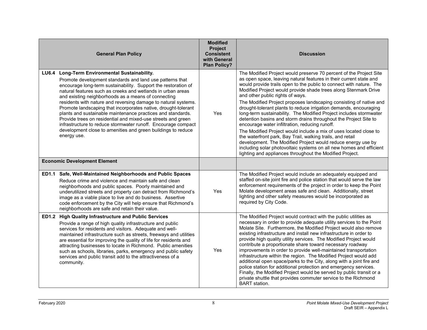|              | <b>General Plan Policy</b>                                                                                                                                                                                                                                                                                                                                                                                                                                                                                                                                                                                                                                                                                           | <b>Modified</b><br><b>Project</b><br><b>Consistent</b><br>with General<br><b>Plan Policy?</b> | <b>Discussion</b>                                                                                                                                                                                                                                                                                                                                                                                                                                                                                                                                                                                                                                                                                                                                                                                                                                                                                                                                                                                   |
|--------------|----------------------------------------------------------------------------------------------------------------------------------------------------------------------------------------------------------------------------------------------------------------------------------------------------------------------------------------------------------------------------------------------------------------------------------------------------------------------------------------------------------------------------------------------------------------------------------------------------------------------------------------------------------------------------------------------------------------------|-----------------------------------------------------------------------------------------------|-----------------------------------------------------------------------------------------------------------------------------------------------------------------------------------------------------------------------------------------------------------------------------------------------------------------------------------------------------------------------------------------------------------------------------------------------------------------------------------------------------------------------------------------------------------------------------------------------------------------------------------------------------------------------------------------------------------------------------------------------------------------------------------------------------------------------------------------------------------------------------------------------------------------------------------------------------------------------------------------------------|
|              | LU6.4 Long-Term Environmental Sustainability.<br>Promote development standards and land use patterns that<br>encourage long-term sustainability. Support the restoration of<br>natural features such as creeks and wetlands in urban areas<br>and existing neighborhoods as a means of connecting<br>residents with nature and reversing damage to natural systems.<br>Promote landscaping that incorporates native, drought-tolerant<br>plants and sustainable maintenance practices and standards.<br>Provide trees on residential and mixed-use streets and green<br>infrastructure to reduce stormwater runoff. Encourage compact<br>development close to amenities and green buildings to reduce<br>energy use. | Yes                                                                                           | The Modified Project would preserve 70 percent of the Project Site<br>as open space, leaving natural features in their current state and<br>would provide trails open to the public to connect with nature. The<br>Modified Project would provide shade trees along Stenmark Drive<br>and other public rights of ways.<br>The Modified Project proposes landscaping consisting of native and<br>drought-tolerant plants to reduce irrigation demands, encouraging<br>long-term sustainability. The Modified Project includes stormwater<br>detention basins and storm drains throughout the Project Site to<br>encourage water infiltration, reducing runoff.<br>The Modified Project would include a mix of uses located close to<br>the waterfront park, Bay Trail, walking trails, and retail<br>development. The Modified Project would reduce energy use by<br>including solar photovoltaic systems on all new homes and efficient<br>lighting and appliances throughout the Modified Project. |
|              | <b>Economic Development Element</b>                                                                                                                                                                                                                                                                                                                                                                                                                                                                                                                                                                                                                                                                                  |                                                                                               |                                                                                                                                                                                                                                                                                                                                                                                                                                                                                                                                                                                                                                                                                                                                                                                                                                                                                                                                                                                                     |
|              | ED1.1 Safe, Well-Maintained Neighborhoods and Public Spaces<br>Reduce crime and violence and maintain safe and clean<br>neighborhoods and public spaces. Poorly maintained and<br>underutilized streets and property can detract from Richmond's<br>image as a viable place to live and do business. Assertive<br>code enforcement by the City will help ensure that Richmond's<br>neighborhoods are safe and retain their value.                                                                                                                                                                                                                                                                                    | Yes                                                                                           | The Modified Project would include an adequately equipped and<br>staffed on-site joint fire and police station that would serve the law<br>enforcement requirements of the project in order to keep the Point<br>Molate development areas safe and clean. Additionally, street<br>lighting and other safety measures would be incorporated as<br>required by City Code.                                                                                                                                                                                                                                                                                                                                                                                                                                                                                                                                                                                                                             |
| <b>ED1.2</b> | <b>High Quality Infrastructure and Public Services</b><br>Provide a range of high quality infrastructure and public<br>services for residents and visitors. Adequate and well-<br>maintained infrastructure such as streets, freeways and utilities<br>are essential for improving the quality of life for residents and<br>attracting businesses to locate in Richmond. Public amenities<br>such as schools, libraries, parks, emergency and public safety<br>services and public transit add to the attractiveness of a<br>community.                                                                                                                                                                              | Yes                                                                                           | The Modified Project would contract with the public utilities as<br>necessary in order to provide adequate utility services to the Point<br>Molate Site. Furthermore, the Modified Project would also remove<br>existing infrastructure and install new infrastructure in order to<br>provide high quality utility services. The Modified Project would<br>contribute a proportionate share toward necessary roadway<br>improvements in order to provide well-maintained transportation<br>infrastructure within the region. The Modified Project would add<br>additional open space/parks to the City, along with a joint fire and<br>police station for additional protection and emergency services.<br>Finally, the Modified Project would be served by public transit or a<br>private shuttle that provides commuter service to the Richmond<br><b>BART</b> station.                                                                                                                           |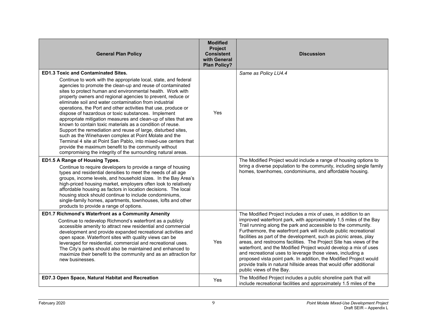| <b>General Plan Policy</b>                                                                                                                                                                                                                                                                                                                                                                                                                                                                                                                | <b>Modified</b><br>Project<br><b>Consistent</b><br>with General<br><b>Plan Policy?</b> | <b>Discussion</b>                                                                                                                                                                                                                                                                                                                                                                                                                                                                                                                                                                                                                                                                                                                |
|-------------------------------------------------------------------------------------------------------------------------------------------------------------------------------------------------------------------------------------------------------------------------------------------------------------------------------------------------------------------------------------------------------------------------------------------------------------------------------------------------------------------------------------------|----------------------------------------------------------------------------------------|----------------------------------------------------------------------------------------------------------------------------------------------------------------------------------------------------------------------------------------------------------------------------------------------------------------------------------------------------------------------------------------------------------------------------------------------------------------------------------------------------------------------------------------------------------------------------------------------------------------------------------------------------------------------------------------------------------------------------------|
| <b>ED1.3 Toxic and Contaminated Sites.</b><br>Continue to work with the appropriate local, state, and federal<br>agencies to promote the clean-up and reuse of contaminated<br>sites to protect human and environmental health. Work with<br>property owners and regional agencies to prevent, reduce or<br>eliminate soil and water contamination from industrial<br>operations, the Port and other activities that use, produce or                                                                                                      |                                                                                        | Same as Policy LU4.4                                                                                                                                                                                                                                                                                                                                                                                                                                                                                                                                                                                                                                                                                                             |
| dispose of hazardous or toxic substances. Implement<br>appropriate mitigation measures and clean-up of sites that are<br>known to contain toxic materials as a condition of reuse.<br>Support the remediation and reuse of large, disturbed sites,<br>such as the Winehaven complex at Point Molate and the<br>Terminal 4 site at Point San Pablo, into mixed-use centers that<br>provide the maximum benefit to the community without<br>compromising the integrity of the surrounding natural areas.                                    | Yes                                                                                    |                                                                                                                                                                                                                                                                                                                                                                                                                                                                                                                                                                                                                                                                                                                                  |
| ED1.5 A Range of Housing Types.<br>Continue to require developers to provide a range of housing<br>types and residential densities to meet the needs of all age<br>groups, income levels, and household sizes. In the Bay Area's<br>high-priced housing market, employers often look to relatively<br>affordable housing as factors in location decisions. The local<br>housing stock should continue to include condominiums,<br>single-family homes, apartments, townhouses, lofts and other<br>products to provide a range of options. |                                                                                        | The Modified Project would include a range of housing options to<br>bring a diverse population to the community, including single family<br>homes, townhomes, condominiums, and affordable housing.                                                                                                                                                                                                                                                                                                                                                                                                                                                                                                                              |
| ED1.7 Richmond's Waterfront as a Community Amenity<br>Continue to redevelop Richmond's waterfront as a publicly<br>accessible amenity to attract new residential and commercial<br>development and provide expanded recreational activities and<br>open space. Waterfront sites with quality views can be<br>leveraged for residential, commercial and recreational uses.<br>The City's parks should also be maintained and enhanced to<br>maximize their benefit to the community and as an attraction for<br>new businesses.            | Yes                                                                                    | The Modified Project includes a mix of uses, in addition to an<br>improved waterfront park, with approximately 1.5 miles of the Bay<br>Trail running along the park and accessible to the community.<br>Furthermore, the waterfront park will include public recreational<br>facilities as part of the development, such as picnic areas, play<br>areas, and restrooms facilities. The Project Site has views of the<br>waterfront, and the Modified Project would develop a mix of uses<br>and recreational uses to leverage those views, including a<br>proposed vista point park. In addition, the Modified Project would<br>provide trails in natural hillside areas that would offer additional<br>public views of the Bay. |
| ED7.3 Open Space, Natural Habitat and Recreation                                                                                                                                                                                                                                                                                                                                                                                                                                                                                          | Yes                                                                                    | The Modified Project includes a public shoreline park that will<br>include recreational facilities and approximately 1.5 miles of the                                                                                                                                                                                                                                                                                                                                                                                                                                                                                                                                                                                            |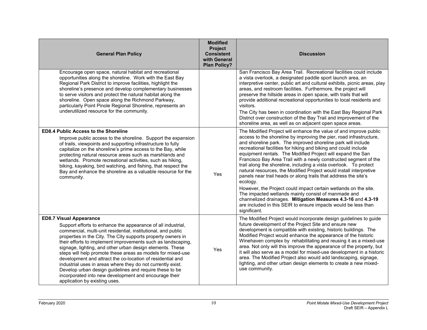| <b>General Plan Policy</b>                                                                                                                                                                                                                                                                                                                                                                                                                                                                                                                                                                                                                                                                                    | <b>Modified</b><br>Project<br><b>Consistent</b><br>with General<br><b>Plan Policy?</b> | <b>Discussion</b>                                                                                                                                                                                                                                                                                                                                                                                                                                                                                                                                                                                                                                                                                                                                                                                                                                                                                                    |
|---------------------------------------------------------------------------------------------------------------------------------------------------------------------------------------------------------------------------------------------------------------------------------------------------------------------------------------------------------------------------------------------------------------------------------------------------------------------------------------------------------------------------------------------------------------------------------------------------------------------------------------------------------------------------------------------------------------|----------------------------------------------------------------------------------------|----------------------------------------------------------------------------------------------------------------------------------------------------------------------------------------------------------------------------------------------------------------------------------------------------------------------------------------------------------------------------------------------------------------------------------------------------------------------------------------------------------------------------------------------------------------------------------------------------------------------------------------------------------------------------------------------------------------------------------------------------------------------------------------------------------------------------------------------------------------------------------------------------------------------|
| Encourage open space, natural habitat and recreational<br>opportunities along the shoreline. Work with the East Bay<br>Regional Park District to improve facilities, highlight the<br>shoreline's presence and develop complementary businesses<br>to serve visitors and protect the natural habitat along the<br>shoreline. Open space along the Richmond Parkway,<br>particularly Point Pinole Regional Shoreline, represents an<br>underutilized resource for the community.                                                                                                                                                                                                                               |                                                                                        | San Francisco Bay Area Trail. Recreational facilities could include<br>a vista overlook, a designated paddle sport launch area, an<br>interpretive center, public art and cultural exhibits, picnic areas, play<br>areas, and restroom facilities. Furthermore, the project will<br>preserve the hillside areas in open space, with trails that will<br>provide additional recreational opportunities to local residents and<br>visitors.<br>The City has been in coordination with the East Bay Regional Park<br>District over construction of the Bay Trail and improvement of the<br>shoreline area, as well as on adjacent open space areas.                                                                                                                                                                                                                                                                     |
| <b>ED8.4 Public Access to the Shoreline</b><br>Improve public access to the shoreline. Support the expansion<br>of trails, viewpoints and supporting infrastructure to fully<br>capitalize on the shoreline's prime access to the Bay, while<br>protecting natural resource areas such as marshlands and<br>wetlands. Promote recreational activities, such as hiking,<br>biking, kayaking, bird watching, and fishing, that respect the<br>Bay and enhance the shoreline as a valuable resource for the<br>community.                                                                                                                                                                                        | Yes                                                                                    | The Modified Project will enhance the value of and improve public<br>access to the shoreline by improving the pier, road infrastructure,<br>and shoreline park. The improved shoreline park will include<br>recreational facilities for hiking and biking and could include<br>equipment rentals. The Modified Project will expand the San<br>Francisco Bay Area Trail with a newly constructed segment of the<br>trail along the shoreline, including a vista overlook. To protect<br>natural resources, the Modified Project would install interpretive<br>panels near trail heads or along trails that address the site's<br>ecology.<br>However, the Project could impact certain wetlands on the site.<br>The impacted wetlands mainly consist of manmade and<br>channelized drainages. Mitigation Measures 4.3-16 and 4.3-19<br>are included in this SEIR to ensure impacts would be less than<br>significant. |
| <b>ED8.7 Visual Appearance</b><br>Support efforts to enhance the appearance of all industrial,<br>commercial, multi-unit residential, institutional, and public<br>properties in the City. The City supports property owners in<br>their efforts to implement improvements such as landscaping,<br>signage, lighting, and other urban design elements. These<br>steps will help promote these areas as models for mixed-use<br>development and attract the co-location of residential and<br>industrial uses in areas where they do not currently exist.<br>Develop urban design guidelines and require these to be<br>incorporated into new development and encourage their<br>application by existing uses. | Yes                                                                                    | The Modified Project would incorporate design guidelines to guide<br>future development of the Project Site and ensure new<br>development is compatible with existing, historic buildings. The<br>Modified Project would enhance the appearance of the historic<br>Winehaven complex by rehabilitating and reusing it as a mixed-use<br>area. Not only will this improve the appearance of the property, but<br>it will also serve as a model for mixed-use development in a historic<br>area. The Modified Project also would add landscaping, signage,<br>lighting, and other urban design elements to create a new mixed-<br>use community.                                                                                                                                                                                                                                                                       |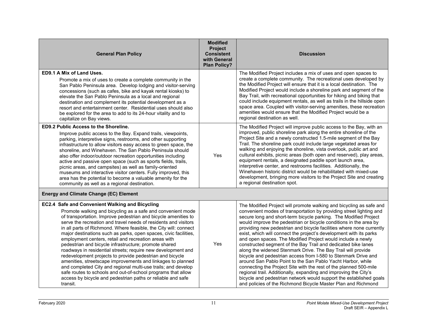| <b>General Plan Policy</b>                                                                                                                                                                                                                                                                                                                                                                                                                                                                                                                                                                                                                                                                                                                                                                                                                                                                                          | <b>Modified</b><br><b>Project</b><br><b>Consistent</b><br>with General<br><b>Plan Policy?</b> | <b>Discussion</b>                                                                                                                                                                                                                                                                                                                                                                                                                                                                                                                                                                                                                                                                                                                                                                                                                                                                                                                                                                                                                                  |
|---------------------------------------------------------------------------------------------------------------------------------------------------------------------------------------------------------------------------------------------------------------------------------------------------------------------------------------------------------------------------------------------------------------------------------------------------------------------------------------------------------------------------------------------------------------------------------------------------------------------------------------------------------------------------------------------------------------------------------------------------------------------------------------------------------------------------------------------------------------------------------------------------------------------|-----------------------------------------------------------------------------------------------|----------------------------------------------------------------------------------------------------------------------------------------------------------------------------------------------------------------------------------------------------------------------------------------------------------------------------------------------------------------------------------------------------------------------------------------------------------------------------------------------------------------------------------------------------------------------------------------------------------------------------------------------------------------------------------------------------------------------------------------------------------------------------------------------------------------------------------------------------------------------------------------------------------------------------------------------------------------------------------------------------------------------------------------------------|
| ED9.1 A Mix of Land Uses.<br>Promote a mix of uses to create a complete community in the<br>San Pablo Peninsula area. Develop lodging and visitor-serving<br>concessions (such as cafes, bike and kayak rental kiosks) to<br>elevate the San Pablo Peninsula as a local and regional<br>destination and complement its potential development as a<br>resort and entertainment center. Residential uses should also<br>be explored for the area to add to its 24-hour vitality and to<br>capitalize on Bay views.                                                                                                                                                                                                                                                                                                                                                                                                    |                                                                                               | The Modified Project includes a mix of uses and open spaces to<br>create a complete community. The recreational uses developed by<br>the Modified Project will ensure that it is a local destination. The<br>Modified Project would include a shoreline park and segment of the<br>Bay Trail, with recreational opportunities for hiking and biking that<br>could include equipment rentals, as well as trails in the hillside open<br>space area. Coupled with visitor-serving amenities, these recreation<br>amenities would ensure that the Modified Project would be a<br>regional destination as well.                                                                                                                                                                                                                                                                                                                                                                                                                                        |
| ED9.2 Public Access to the Shoreline.<br>Improve public access to the Bay. Expand trails, viewpoints,<br>parking, interpretive signs, restrooms, and other supporting<br>infrastructure to allow visitors easy access to green space, the<br>shoreline, and Winehaven. The San Pablo Peninsula should<br>also offer indoor/outdoor recreation opportunities including<br>active and passive open space (such as sports fields, trails,<br>picnic areas, and campsites) as well as family-oriented<br>museums and interactive visitor centers. Fully improved, this<br>area has the potential to become a valuable amenity for the<br>community as well as a regional destination.                                                                                                                                                                                                                                   | Yes                                                                                           | The Modified Project will improve public access to the Bay, with an<br>improved, public shoreline park along the entire shoreline of the<br>Project Site and a newly constructed 1.5-mile segment of the Bay<br>Trail. The shoreline park could include large vegetated areas for<br>walking and enjoying the shoreline, vista overlook, public art and<br>cultural exhibits, picnic areas (both open and reserved), play areas,<br>equipment rentals, a designated paddle sport launch area,<br>interpretive center, and restrooms facilities. Additionally, the<br>Winehaven historic district would be rehabilitated with mixed-use<br>development, bringing more visitors to the Project Site and creating<br>a regional destination spot.                                                                                                                                                                                                                                                                                                     |
| <b>Energy and Climate Change (EC) Element</b>                                                                                                                                                                                                                                                                                                                                                                                                                                                                                                                                                                                                                                                                                                                                                                                                                                                                       |                                                                                               |                                                                                                                                                                                                                                                                                                                                                                                                                                                                                                                                                                                                                                                                                                                                                                                                                                                                                                                                                                                                                                                    |
| EC2.4 Safe and Convenient Walking and Bicycling<br>Promote walking and bicycling as a safe and convenient mode<br>of transportation. Improve pedestrian and bicycle amenities to<br>serve the recreation and travel needs of residents and visitors<br>in all parts of Richmond. Where feasible, the City will: connect<br>major destinations such as parks, open spaces, civic facilities,<br>employment centers, retail and recreation areas with<br>pedestrian and bicycle infrastructure; promote shared<br>roadways in residential streets; require new development and<br>redevelopment projects to provide pedestrian and bicycle<br>amenities, streetscape improvements and linkages to planned<br>and completed City and regional multi-use trails; and develop<br>safe routes to schools and out-of-school programs that allow<br>access by bicycle and pedestrian paths or reliable and safe<br>transit. | Yes                                                                                           | The Modified Project will promote walking and bicycling as safe and<br>convenient modes of transportation by providing street lighting and<br>secure long and short-term bicycle parking. The Modified Project<br>would improve the pedestrian or bicycle conditions in the area by<br>providing new pedestrian and bicycle facilities where none currently<br>exist, which will connect the project's development with its parks<br>and open spaces. The Modified Project would include a newly<br>constructed segment of the Bay Trail and dedicated bike lanes<br>along the widened Stenmark Drive. The Bay Trail will provide<br>bicycle and pedestrian access from I-580 to Stenmark Drive and<br>around San Pablo Point to the San Pablo Yacht Harbor, while<br>connecting the Project Site with the rest of the planned 500-mile<br>regional trail. Additionally, expanding and improving the City's<br>bicycle and pedestrian network would support the established goals<br>and policies of the Richmond Bicycle Master Plan and Richmond |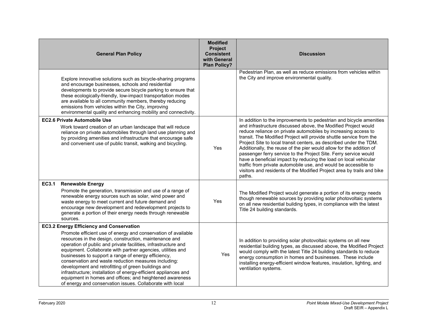|       | <b>General Plan Policy</b>                                                                                                                                                                                                                                                                                                                                                                                                                                                                                                                                                                                                                                                    | <b>Modified</b><br>Project<br><b>Consistent</b><br>with General<br><b>Plan Policy?</b> | <b>Discussion</b>                                                                                                                                                                                                                                                                                                                                                                                                                                                                                                                                                                                                                                                                                                          |
|-------|-------------------------------------------------------------------------------------------------------------------------------------------------------------------------------------------------------------------------------------------------------------------------------------------------------------------------------------------------------------------------------------------------------------------------------------------------------------------------------------------------------------------------------------------------------------------------------------------------------------------------------------------------------------------------------|----------------------------------------------------------------------------------------|----------------------------------------------------------------------------------------------------------------------------------------------------------------------------------------------------------------------------------------------------------------------------------------------------------------------------------------------------------------------------------------------------------------------------------------------------------------------------------------------------------------------------------------------------------------------------------------------------------------------------------------------------------------------------------------------------------------------------|
|       | Explore innovative solutions such as bicycle-sharing programs<br>and encourage businesses, schools and residential<br>developments to provide secure bicycle parking to ensure that<br>these ecologically-friendly, low-impact transportation modes<br>are available to all community members, thereby reducing<br>emissions from vehicles within the City, improving<br>environmental quality and enhancing mobility and connectivity.                                                                                                                                                                                                                                       |                                                                                        | Pedestrian Plan, as well as reduce emissions from vehicles within<br>the City and improve environmental quality.                                                                                                                                                                                                                                                                                                                                                                                                                                                                                                                                                                                                           |
|       | <b>EC2.6 Private Automobile Use</b><br>Work toward creation of an urban landscape that will reduce<br>reliance on private automobiles through land use planning and<br>by providing amenities and infrastructure that encourage safe<br>and convenient use of public transit, walking and bicycling.                                                                                                                                                                                                                                                                                                                                                                          | Yes                                                                                    | In addition to the improvements to pedestrian and bicycle amenities<br>and infrastructure discussed above, the Modified Project would<br>reduce reliance on private automobiles by increasing access to<br>transit. The Modified Project will provide shuttle service from the<br>Project Site to local transit centers, as described under the TDM.<br>Additionally, the reuse of the pier would allow for the addition of<br>passenger ferry service to the Project Site. Ferry service would<br>have a beneficial impact by reducing the load on local vehicular<br>traffic from private automobile use, and would be accessible to<br>visitors and residents of the Modified Project area by trails and bike<br>paths. |
| EC3.1 | <b>Renewable Energy</b><br>Promote the generation, transmission and use of a range of<br>renewable energy sources such as solar, wind power and<br>waste energy to meet current and future demand and<br>encourage new development and redevelopment projects to<br>generate a portion of their energy needs through renewable<br>sources.                                                                                                                                                                                                                                                                                                                                    | Yes                                                                                    | The Modified Project would generate a portion of its energy needs<br>though renewable sources by providing solar photovoltaic systems<br>on all new residential building types, in compliance with the latest<br>Title 24 building standards.                                                                                                                                                                                                                                                                                                                                                                                                                                                                              |
|       | <b>EC3.2 Energy Efficiency and Conservation</b><br>Promote efficient use of energy and conservation of available<br>resources in the design, construction, maintenance and<br>operation of public and private facilities, infrastructure and<br>equipment. Collaborate with partner agencies, utilities and<br>businesses to support a range of energy efficiency,<br>conservation and waste reduction measures including:<br>development and retrofitting of green buildings and<br>infrastructure; installation of energy-efficient appliances and<br>equipment in homes and offices; and heightened awareness<br>of energy and conservation issues. Collaborate with local | Yes                                                                                    | In addition to providing solar photovoltaic systems on all new<br>residential building types, as discussed above, the Modified Project<br>would comply with the latest Title 24 building standards to reduce<br>energy consumption in homes and businesses. These include<br>installing energy-efficient window features, insulation, lighting, and<br>ventilation systems.                                                                                                                                                                                                                                                                                                                                                |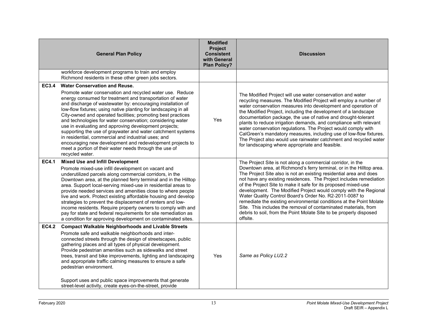|              | <b>General Plan Policy</b>                                                                                                                                                                                                                                                                                                                                                                                                                                                                                                                                                                                                                                                                                                                              | <b>Modified</b><br>Project<br><b>Consistent</b><br>with General<br><b>Plan Policy?</b> | <b>Discussion</b>                                                                                                                                                                                                                                                                                                                                                                                                                                                                                                                                                                                                                                                                                            |
|--------------|---------------------------------------------------------------------------------------------------------------------------------------------------------------------------------------------------------------------------------------------------------------------------------------------------------------------------------------------------------------------------------------------------------------------------------------------------------------------------------------------------------------------------------------------------------------------------------------------------------------------------------------------------------------------------------------------------------------------------------------------------------|----------------------------------------------------------------------------------------|--------------------------------------------------------------------------------------------------------------------------------------------------------------------------------------------------------------------------------------------------------------------------------------------------------------------------------------------------------------------------------------------------------------------------------------------------------------------------------------------------------------------------------------------------------------------------------------------------------------------------------------------------------------------------------------------------------------|
|              | workforce development programs to train and employ<br>Richmond residents in these other green jobs sectors.                                                                                                                                                                                                                                                                                                                                                                                                                                                                                                                                                                                                                                             |                                                                                        |                                                                                                                                                                                                                                                                                                                                                                                                                                                                                                                                                                                                                                                                                                              |
| <b>EC3.4</b> | <b>Water Conservation and Reuse.</b><br>Promote water conservation and recycled water use. Reduce<br>energy consumed for treatment and transportation of water<br>and discharge of wastewater by: encouraging installation of<br>low-flow fixtures; using native planting for landscaping in all<br>City-owned and operated facilities; promoting best practices<br>and technologies for water conservation; considering water<br>use in evaluating and approving development projects;<br>supporting the use of graywater and water catchment systems<br>in residential, commercial and industrial uses; and<br>encouraging new development and redevelopment projects to<br>meet a portion of their water needs through the use of<br>recycled water. | Yes                                                                                    | The Modified Project will use water conservation and water<br>recycling measures. The Modified Project will employ a number of<br>water conservation measures into development and operation of<br>the Modified Project, including the development of a landscape<br>documentation package, the use of native and drought-tolerant<br>plants to reduce irrigation demands, and compliance with relevant<br>water conservation regulations. The Project would comply with<br>CalGreen's mandatory measures, including use of low-flow fixtures.<br>The Project also would use rainwater catchment and recycled water<br>for landscaping where appropriate and feasible.                                       |
| <b>EC4.1</b> | <b>Mixed Use and Infill Development</b><br>Promote mixed-use infill development on vacant and<br>underutilized parcels along commercial corridors, in the<br>Downtown area, at the planned ferry terminal and in the Hilltop<br>area. Support local-serving mixed-use in residential areas to<br>provide needed services and amenities close to where people<br>live and work. Protect existing affordable housing and develop<br>strategies to prevent the displacement of renters and low-<br>income residents. Require property owners to comply with and<br>pay for state and federal requirements for site remediation as<br>a condition for approving development on contaminated sites.                                                          |                                                                                        | The Project Site is not along a commercial corridor, in the<br>Downtown area, at Richmond's ferry terminal, or in the Hilltop area.<br>The Project Site also is not an existing residential area and does<br>not have any existing residences. The Project includes remediation<br>of the Project Site to make it safe for its proposed mixed-use<br>development. The Modified Project would comply with the Regional<br>Water Quality Control Board's Order No. R2-2011-0087 to<br>remediate the existing environmental conditions at the Point Molate<br>Site. This includes the removal of contaminated materials, from<br>debris to soil, from the Point Molate Site to be properly disposed<br>offsite. |
| <b>EC4.2</b> | <b>Compact Walkable Neighborhoods and Livable Streets</b><br>Promote safe and walkable neighborhoods and inter-<br>connected streets through the design of streetscapes, public<br>gathering places and all types of physical development.<br>Provide pedestrian amenities such as sidewalks and street<br>trees, transit and bike improvements, lighting and landscaping<br>and appropriate traffic calming measures to ensure a safe<br>pedestrian environment.<br>Support uses and public space improvements that generate<br>street-level activity, create eyes-on-the-street, provide                                                                                                                                                              | Yes                                                                                    | Same as Policy LU2.2                                                                                                                                                                                                                                                                                                                                                                                                                                                                                                                                                                                                                                                                                         |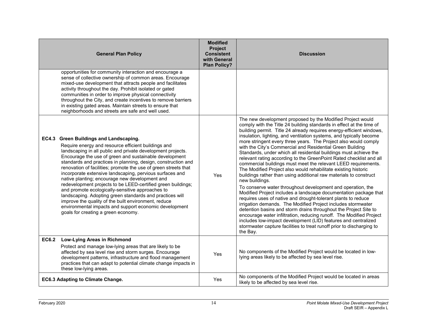|              | <b>General Plan Policy</b>                                                                                                                                                                                                                                                                                                                                                                                                                                                                                                                                                                                                                                                                                                                                                                                        | <b>Modified</b><br>Project<br><b>Consistent</b><br>with General<br><b>Plan Policy?</b> | <b>Discussion</b>                                                                                                                                                                                                                                                                                                                                                                                                                                                                                                                                                                                                                                                                                                                                                                                                                                                                                                                                                                                                                                                                                                                                                                                                                                                                                                                                              |
|--------------|-------------------------------------------------------------------------------------------------------------------------------------------------------------------------------------------------------------------------------------------------------------------------------------------------------------------------------------------------------------------------------------------------------------------------------------------------------------------------------------------------------------------------------------------------------------------------------------------------------------------------------------------------------------------------------------------------------------------------------------------------------------------------------------------------------------------|----------------------------------------------------------------------------------------|----------------------------------------------------------------------------------------------------------------------------------------------------------------------------------------------------------------------------------------------------------------------------------------------------------------------------------------------------------------------------------------------------------------------------------------------------------------------------------------------------------------------------------------------------------------------------------------------------------------------------------------------------------------------------------------------------------------------------------------------------------------------------------------------------------------------------------------------------------------------------------------------------------------------------------------------------------------------------------------------------------------------------------------------------------------------------------------------------------------------------------------------------------------------------------------------------------------------------------------------------------------------------------------------------------------------------------------------------------------|
|              | opportunities for community interaction and encourage a<br>sense of collective ownership of common areas. Encourage<br>mixed-use development that attracts people and facilitates<br>activity throughout the day. Prohibit isolated or gated<br>communities in order to improve physical connectivity<br>throughout the City, and create incentives to remove barriers<br>in existing gated areas. Maintain streets to ensure that<br>neighborhoods and streets are safe and well used.                                                                                                                                                                                                                                                                                                                           |                                                                                        |                                                                                                                                                                                                                                                                                                                                                                                                                                                                                                                                                                                                                                                                                                                                                                                                                                                                                                                                                                                                                                                                                                                                                                                                                                                                                                                                                                |
|              | EC4.3 Green Buildings and Landscaping.<br>Require energy and resource efficient buildings and<br>landscaping in all public and private development projects.<br>Encourage the use of green and sustainable development<br>standards and practices in planning, design, construction and<br>renovation of facilities; promote the use of green streets that<br>incorporate extensive landscaping, pervious surfaces and<br>native planting; encourage new development and<br>redevelopment projects to be LEED-certified green buildings;<br>and promote ecologically-sensitive approaches to<br>landscaping. Adopting green standards and practices will<br>improve the quality of the built environment, reduce<br>environmental impacts and support economic development<br>goals for creating a green economy. | Yes                                                                                    | The new development proposed by the Modified Project would<br>comply with the Title 24 building standards in effect at the time of<br>building permit. Title 24 already requires energy-efficient windows,<br>insulation, lighting, and ventilation systems, and typically become<br>more stringent every three years. The Project also would comply<br>with the City's Commercial and Residential Green Building<br>Standards, under which all residential buildings must achieve the<br>relevant rating according to the GreenPoint Rated checklist and all<br>commercial buildings must meet the relevant LEED requirements.<br>The Modified Project also would rehabilitate existing historic<br>buildings rather than using additional raw materials to construct<br>new buildings.<br>To conserve water throughout development and operation, the<br>Modified Project includes a landscape documentation package that<br>requires uses of native and drought-tolerant plants to reduce<br>irrigation demands. The Modified Project includes stormwater<br>detention basins and storm drains throughout the Project Site to<br>encourage water infiltration, reducing runoff. The Modified Project<br>includes low-impact development (LID) features and centralized<br>stormwater capture facilities to treat runoff prior to discharging to<br>the Bay. |
| <b>EC6.2</b> | Low-Lying Areas in Richmond<br>Protect and manage low-lying areas that are likely to be<br>affected by sea level rise and storm surges. Encourage<br>development patterns, infrastructure and flood management<br>practices that can adapt to potential climate change impacts in<br>these low-lying areas.                                                                                                                                                                                                                                                                                                                                                                                                                                                                                                       | Yes                                                                                    | No components of the Modified Project would be located in low-<br>lying areas likely to be affected by sea level rise.                                                                                                                                                                                                                                                                                                                                                                                                                                                                                                                                                                                                                                                                                                                                                                                                                                                                                                                                                                                                                                                                                                                                                                                                                                         |
|              | <b>EC6.3 Adapting to Climate Change.</b>                                                                                                                                                                                                                                                                                                                                                                                                                                                                                                                                                                                                                                                                                                                                                                          | Yes                                                                                    | No components of the Modified Project would be located in areas<br>likely to be affected by sea level rise.                                                                                                                                                                                                                                                                                                                                                                                                                                                                                                                                                                                                                                                                                                                                                                                                                                                                                                                                                                                                                                                                                                                                                                                                                                                    |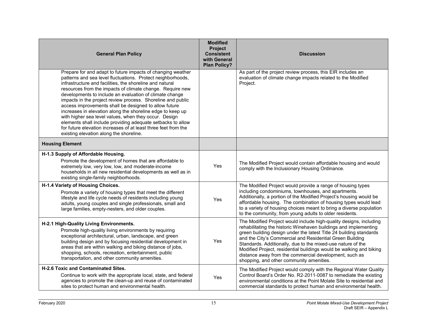| <b>General Plan Policy</b>                                                                                                                                                                                                                                                                                                                                                                                                                                                                                                                                                                                                                                                                                                                | <b>Modified</b><br>Project<br><b>Consistent</b><br>with General<br><b>Plan Policy?</b> | <b>Discussion</b>                                                                                                                                                                                                                                                                                                                                                                                                                                                                                                    |
|-------------------------------------------------------------------------------------------------------------------------------------------------------------------------------------------------------------------------------------------------------------------------------------------------------------------------------------------------------------------------------------------------------------------------------------------------------------------------------------------------------------------------------------------------------------------------------------------------------------------------------------------------------------------------------------------------------------------------------------------|----------------------------------------------------------------------------------------|----------------------------------------------------------------------------------------------------------------------------------------------------------------------------------------------------------------------------------------------------------------------------------------------------------------------------------------------------------------------------------------------------------------------------------------------------------------------------------------------------------------------|
| Prepare for and adapt to future impacts of changing weather<br>patterns and sea level fluctuations. Protect neighborhoods,<br>infrastructure and facilities, the shoreline and natural<br>resources from the impacts of climate change. Require new<br>developments to include an evaluation of climate change<br>impacts in the project review process. Shoreline and public<br>access improvements shall be designed to allow future<br>increases in elevation along the shoreline edge to keep up<br>with higher sea level values, when they occur. Design<br>elements shall include providing adequate setbacks to allow<br>for future elevation increases of at least three feet from the<br>existing elevation along the shoreline. |                                                                                        | As part of the project review process, this EIR includes an<br>evaluation of climate change impacts related to the Modified<br>Project.                                                                                                                                                                                                                                                                                                                                                                              |
| <b>Housing Element</b>                                                                                                                                                                                                                                                                                                                                                                                                                                                                                                                                                                                                                                                                                                                    |                                                                                        |                                                                                                                                                                                                                                                                                                                                                                                                                                                                                                                      |
| H-1.3 Supply of Affordable Housing.<br>Promote the development of homes that are affordable to<br>extremely low, very low, low, and moderate-income<br>households in all new residential developments as well as in<br>existing single-family neighborhoods.                                                                                                                                                                                                                                                                                                                                                                                                                                                                              | Yes                                                                                    | The Modified Project would contain affordable housing and would<br>comply with the Inclusionary Housing Ordinance.                                                                                                                                                                                                                                                                                                                                                                                                   |
| H-1.4 Variety of Housing Choices.<br>Promote a variety of housing types that meet the different<br>lifestyle and life cycle needs of residents including young<br>adults, young couples and single professionals, small and<br>large families, empty-nesters, and older couples.                                                                                                                                                                                                                                                                                                                                                                                                                                                          | Yes                                                                                    | The Modified Project would provide a range of housing types<br>including condominiums, townhouses, and apartments.<br>Additionally, a portion of the Modified Project's housing would be<br>affordable housing. The combination of housing types would lead<br>to a variety of housing choices meant to bring a diverse population<br>to the community, from young adults to older residents.                                                                                                                        |
| H-2.1 High-Quality Living Environments.<br>Promote high-quality living environments by requiring<br>exceptional architectural, urban, landscape, and green<br>building design and by focusing residential development in<br>areas that are within walking and biking distance of jobs,<br>shopping, schools, recreation, entertainment, public<br>transportation, and other community amenities.                                                                                                                                                                                                                                                                                                                                          | Yes                                                                                    | The Modified Project would include high-quality designs, including<br>rehabilitating the historic Winehaven buildings and implementing<br>green building design under the latest Title 24 building standards<br>and the City's Commercial and Residential Green Building<br>Standards. Additionally, due to the mixed-use nature of the<br>Modified Project, residential buildings would be walking and biking<br>distance away from the commercial development, such as<br>shopping, and other community amenities. |
| H-2.6 Toxic and Contaminated Sites.<br>Continue to work with the appropriate local, state, and federal<br>agencies to promote the clean-up and reuse of contaminated<br>sites to protect human and environmental health.                                                                                                                                                                                                                                                                                                                                                                                                                                                                                                                  | Yes                                                                                    | The Modified Project would comply with the Regional Water Quality<br>Control Board's Order No. R2-2011-0087 to remediate the existing<br>environmental conditions at the Point Molate Site to residential and<br>commercial standards to protect human and environmental health.                                                                                                                                                                                                                                     |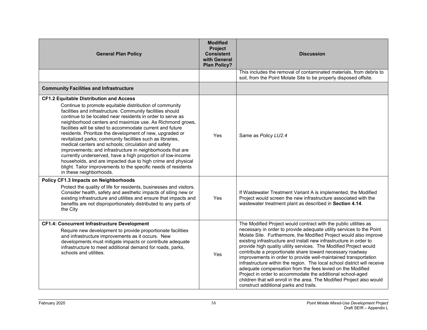| <b>General Plan Policy</b>                                                                                                                                                                                                                                                                                                                                                                                                                                                                                                                                                                                                                                                                                                     | <b>Modified</b><br>Project<br><b>Consistent</b><br>with General<br><b>Plan Policy?</b> | <b>Discussion</b>                                                                                                                                                                                                                                                                                                                                                                                                                                                                                                                                                                                                                                                                                                                                                                                                    |
|--------------------------------------------------------------------------------------------------------------------------------------------------------------------------------------------------------------------------------------------------------------------------------------------------------------------------------------------------------------------------------------------------------------------------------------------------------------------------------------------------------------------------------------------------------------------------------------------------------------------------------------------------------------------------------------------------------------------------------|----------------------------------------------------------------------------------------|----------------------------------------------------------------------------------------------------------------------------------------------------------------------------------------------------------------------------------------------------------------------------------------------------------------------------------------------------------------------------------------------------------------------------------------------------------------------------------------------------------------------------------------------------------------------------------------------------------------------------------------------------------------------------------------------------------------------------------------------------------------------------------------------------------------------|
|                                                                                                                                                                                                                                                                                                                                                                                                                                                                                                                                                                                                                                                                                                                                |                                                                                        | This includes the removal of contaminated materials, from debris to<br>soil, from the Point Molate Site to be properly disposed offsite.                                                                                                                                                                                                                                                                                                                                                                                                                                                                                                                                                                                                                                                                             |
| <b>Community Facilities and Infrastructure</b>                                                                                                                                                                                                                                                                                                                                                                                                                                                                                                                                                                                                                                                                                 |                                                                                        |                                                                                                                                                                                                                                                                                                                                                                                                                                                                                                                                                                                                                                                                                                                                                                                                                      |
| <b>CF1.2 Equitable Distribution and Access</b><br>Continue to promote equitable distribution of community                                                                                                                                                                                                                                                                                                                                                                                                                                                                                                                                                                                                                      |                                                                                        |                                                                                                                                                                                                                                                                                                                                                                                                                                                                                                                                                                                                                                                                                                                                                                                                                      |
| facilities and infrastructure. Community facilities should<br>continue to be located near residents in order to serve as<br>neighborhood centers and maximize use. As Richmond grows,<br>facilities will be sited to accommodate current and future<br>residents. Prioritize the development of new, upgraded or<br>revitalized parks; community facilities such as libraries,<br>medical centers and schools; circulation and safety<br>improvements; and infrastructure in neighborhoods that are<br>currently underserved, have a high proportion of low-income<br>households, and are impacted due to high crime and physical<br>blight. Tailor improvements to the specific needs of residents<br>in these neighborhoods. | Yes                                                                                    | Same as Policy LU2.4                                                                                                                                                                                                                                                                                                                                                                                                                                                                                                                                                                                                                                                                                                                                                                                                 |
| <b>Policy CF1.3 Impacts on Neighborhoods</b><br>Protect the quality of life for residents, businesses and visitors.<br>Consider health, safety and aesthetic impacts of siting new or<br>existing infrastructure and utilities and ensure that impacts and<br>benefits are not disproportionately distributed to any parts of<br>the City                                                                                                                                                                                                                                                                                                                                                                                      | Yes                                                                                    | If Wastewater Treatment Variant A is implemented, the Modified<br>Project would screen the new infrastructure associated with the<br>wastewater treatment plant as described in Section 4.14.                                                                                                                                                                                                                                                                                                                                                                                                                                                                                                                                                                                                                        |
| <b>CF1.4: Concurrent Infrastructure Development</b><br>Require new development to provide proportionate facilities<br>and infrastructure improvements as it occurs. New<br>developments must mitigate impacts or contribute adequate<br>infrastructure to meet additional demand for roads, parks,<br>schools and utilities.                                                                                                                                                                                                                                                                                                                                                                                                   | Yes                                                                                    | The Modified Project would contract with the public utilities as<br>necessary in order to provide adequate utility services to the Point<br>Molate Site. Furthermore, the Modified Project would also improve<br>existing infrastructure and install new infrastructure in order to<br>provide high quality utility services. The Modified Project would<br>contribute a proportionate share toward necessary roadway<br>improvements in order to provide well-maintained transportation<br>infrastructure within the region. The local school district will receive<br>adequate compensation from the fees levied on the Modified<br>Project in order to accommodate the additional school-aged<br>children that will enroll in the area. The Modified Project also would<br>construct additional parks and trails. |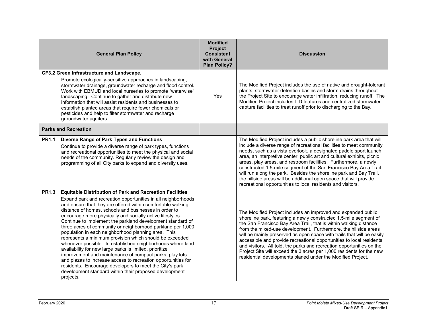|              | <b>General Plan Policy</b>                                                                                                                                                                                                                                                                                                                                                                                                                                                                                                                                                                                                                                                                                                                                                                                                                                                                                                                                  | <b>Modified</b><br>Project<br><b>Consistent</b><br>with General<br><b>Plan Policy?</b> | <b>Discussion</b>                                                                                                                                                                                                                                                                                                                                                                                                                                                                                                                                                                                                                              |
|--------------|-------------------------------------------------------------------------------------------------------------------------------------------------------------------------------------------------------------------------------------------------------------------------------------------------------------------------------------------------------------------------------------------------------------------------------------------------------------------------------------------------------------------------------------------------------------------------------------------------------------------------------------------------------------------------------------------------------------------------------------------------------------------------------------------------------------------------------------------------------------------------------------------------------------------------------------------------------------|----------------------------------------------------------------------------------------|------------------------------------------------------------------------------------------------------------------------------------------------------------------------------------------------------------------------------------------------------------------------------------------------------------------------------------------------------------------------------------------------------------------------------------------------------------------------------------------------------------------------------------------------------------------------------------------------------------------------------------------------|
|              | CF3.2 Green Infrastructure and Landscape.<br>Promote ecologically-sensitive approaches in landscaping,<br>stormwater drainage, groundwater recharge and flood control.<br>Work with EBMUD and local nurseries to promote "waterwise"<br>landscaping. Continue to gather and distribute new<br>information that will assist residents and businesses to<br>establish planted areas that require fewer chemicals or<br>pesticides and help to filter stormwater and recharge<br>groundwater aquifers.                                                                                                                                                                                                                                                                                                                                                                                                                                                         | Yes                                                                                    | The Modified Project includes the use of native and drought-tolerant<br>plants, stormwater detention basins and storm drains throughout<br>the Project Site to encourage water infiltration, reducing runoff. The<br>Modified Project includes LID features and centralized stormwater<br>capture facilities to treat runoff prior to discharging to the Bay.                                                                                                                                                                                                                                                                                  |
|              | <b>Parks and Recreation</b>                                                                                                                                                                                                                                                                                                                                                                                                                                                                                                                                                                                                                                                                                                                                                                                                                                                                                                                                 |                                                                                        |                                                                                                                                                                                                                                                                                                                                                                                                                                                                                                                                                                                                                                                |
| <b>PR1.1</b> | <b>Diverse Range of Park Types and Functions</b><br>Continue to provide a diverse range of park types, functions<br>and recreational opportunities to meet the physical and social<br>needs of the community. Regularly review the design and<br>programming of all City parks to expand and diversify uses.                                                                                                                                                                                                                                                                                                                                                                                                                                                                                                                                                                                                                                                |                                                                                        | The Modified Project includes a public shoreline park area that will<br>include a diverse range of recreational facilities to meet community<br>needs, such as a vista overlook, a designated paddle sport launch<br>area, an interpretive center, public art and cultural exhibits, picnic<br>areas, play areas, and restroom facilities. Furthermore, a newly<br>constructed 1.5-mile segment of the San Francisco Bay Area Trail<br>will run along the park. Besides the shoreline park and Bay Trail,<br>the hillside areas will be additional open space that will provide<br>recreational opportunities to local residents and visitors. |
| <b>PR1.3</b> | <b>Equitable Distribution of Park and Recreation Facilities</b><br>Expand park and recreation opportunities in all neighborhoods<br>and ensure that they are offered within comfortable walking<br>distance of homes, schools and businesses in order to<br>encourage more physically and socially active lifestyles.<br>Continue to implement the parkland development standard of<br>three acres of community or neighborhood parkland per 1,000<br>population in each neighborhood planning area. This<br>represents a minimum provision which should be exceeded<br>whenever possible. In established neighborhoods where land<br>availability for new large parks is limited, prioritize<br>improvement and maintenance of compact parks, play lots<br>and plazas to increase access to recreation opportunities for<br>residents. Encourage developers to meet the City's park<br>development standard within their proposed development<br>projects. |                                                                                        | The Modified Project includes an improved and expanded public<br>shoreline park, featuring a newly constructed 1.5-mile segment of<br>the San Francisco Bay Area Trail, that is within walking distance<br>from the mixed-use development. Furthermore, the hillside areas<br>will be mainly preserved as open space with trails that will be easily<br>accessible and provide recreational opportunities to local residents<br>and visitors. All told, the parks and recreation opportunities on the<br>Project Site will exceed the 3 acres per 1,000 residents for the new<br>residential developments planed under the Modified Project.   |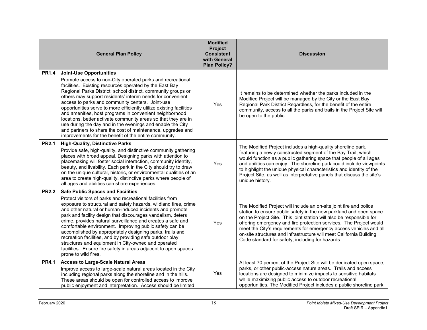|              | <b>General Plan Policy</b>                                                                                                                                                                                                                                                                                                                                                                                                                                                                                                                                                                                                                                                                                                           | <b>Modified</b><br>Project<br><b>Consistent</b><br>with General<br><b>Plan Policy?</b> | <b>Discussion</b>                                                                                                                                                                                                                                                                                                                                                                                                                                                                       |
|--------------|--------------------------------------------------------------------------------------------------------------------------------------------------------------------------------------------------------------------------------------------------------------------------------------------------------------------------------------------------------------------------------------------------------------------------------------------------------------------------------------------------------------------------------------------------------------------------------------------------------------------------------------------------------------------------------------------------------------------------------------|----------------------------------------------------------------------------------------|-----------------------------------------------------------------------------------------------------------------------------------------------------------------------------------------------------------------------------------------------------------------------------------------------------------------------------------------------------------------------------------------------------------------------------------------------------------------------------------------|
| <b>PR1.4</b> | <b>Joint-Use Opportunities</b><br>Promote access to non-City operated parks and recreational<br>facilities. Existing resources operated by the East Bay<br>Regional Parks District, school district, community groups or<br>others may support residents' interim needs for convenient<br>access to parks and community centers. Joint-use<br>opportunities serve to more efficiently utilize existing facilities<br>and amenities, host programs in convenient neighborhood<br>locations, better activate community areas so that they are in<br>use during the day and in the evenings and enable the City<br>and partners to share the cost of maintenance, upgrades and<br>improvements for the benefit of the entire community. | Yes                                                                                    | It remains to be determined whether the parks included in the<br>Modified Project will be managed by the City or the East Bay<br>Regional Park District Regardless, for the benefit of the entire<br>community, access to all the parks and trails in the Project Site will<br>be open to the public.                                                                                                                                                                                   |
| <b>PR2.1</b> | <b>High-Quality, Distinctive Parks</b><br>Provide safe, high-quality, and distinctive community gathering<br>places with broad appeal. Designing parks with attention to<br>placemaking will foster social interaction, community identity,<br>beauty, and livability. Each park in the City should try to draw<br>on the unique cultural, historic, or environmental qualities of an<br>area to create high-quality, distinctive parks where people of<br>all ages and abilities can share experiences.                                                                                                                                                                                                                             | Yes                                                                                    | The Modified Project includes a high-quality shoreline park,<br>featuring a newly constructed segment of the Bay Trail, which<br>would function as a public gathering space that people of all ages<br>and abilities can enjoy. The shoreline park could include viewpoints<br>to highlight the unique physical characteristics and identity of the<br>Project Site, as well as interpretative panels that discuss the site's<br>unique history.                                        |
| <b>PR2.2</b> | <b>Safe Public Spaces and Facilities</b><br>Protect visitors of parks and recreational facilities from<br>exposure to structural and safety hazards, wildland fires, crime<br>and other natural or human-induced incidents and promote<br>park and facility design that discourages vandalism, deters<br>crime, provides natural surveillance and creates a safe and<br>comfortable environment. Improving public safety can be<br>accomplished by appropriately designing parks, trails and<br>recreation facilities, and by providing safe outdoor play<br>structures and equipment in City-owned and operated<br>facilities. Ensure fire safety in areas adjacent to open spaces<br>prone to wild fires.                          | Yes                                                                                    | The Modified Project will include an on-site joint fire and police<br>station to ensure public safety in the new parkland and open space<br>on the Project Site. This joint station will also be responsible for<br>offering emergency and fire protection services. The Project would<br>meet the City's requirements for emergency access vehicles and all<br>on-site structures and infrastructure will meet California Building<br>Code standard for safety, including for hazards. |
| <b>PR4.1</b> | <b>Access to Large-Scale Natural Areas</b><br>Improve access to large-scale natural areas located in the City<br>including regional parks along the shoreline and in the hills.<br>These areas should be open for controlled access to improve<br>public enjoyment and interpretation. Access should be limited                                                                                                                                                                                                                                                                                                                                                                                                                      | Yes                                                                                    | At least 70 percent of the Project Site will be dedicated open space,<br>parks, or other public-access nature areas. Trails and access<br>locations are designed to minimize impacts to sensitive habitats<br>while maximizing public access to outdoor recreational<br>opportunities. The Modified Project includes a public shoreline park                                                                                                                                            |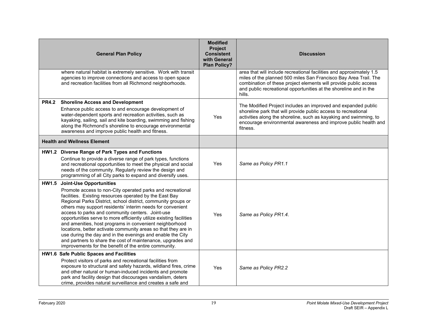|              | <b>General Plan Policy</b>                                                                                                                                                                                                                                                                                                                                                                                                                                                                                                                                                                                                                                                                                                           | <b>Modified</b><br>Project<br><b>Consistent</b><br>with General<br><b>Plan Policy?</b> | <b>Discussion</b>                                                                                                                                                                                                                                                                           |
|--------------|--------------------------------------------------------------------------------------------------------------------------------------------------------------------------------------------------------------------------------------------------------------------------------------------------------------------------------------------------------------------------------------------------------------------------------------------------------------------------------------------------------------------------------------------------------------------------------------------------------------------------------------------------------------------------------------------------------------------------------------|----------------------------------------------------------------------------------------|---------------------------------------------------------------------------------------------------------------------------------------------------------------------------------------------------------------------------------------------------------------------------------------------|
|              | where natural habitat is extremely sensitive. Work with transit<br>agencies to improve connections and access to open space<br>and recreation facilities from all Richmond neighborhoods.                                                                                                                                                                                                                                                                                                                                                                                                                                                                                                                                            |                                                                                        | area that will include recreational facilities and approximately 1.5<br>miles of the planned 500 miles San Francisco Bay Area Trail. The<br>combination of these project elements will provide public access<br>and public recreational opportunities at the shoreline and in the<br>hills. |
| <b>PR4.2</b> | <b>Shoreline Access and Development</b><br>Enhance public access to and encourage development of<br>water-dependent sports and recreation activities, such as<br>kayaking, sailing, sail and kite boarding, swimming and fishing<br>along the Richmond's shoreline to encourage environmental<br>awareness and improve public health and fitness.                                                                                                                                                                                                                                                                                                                                                                                    | Yes                                                                                    | The Modified Project includes an improved and expanded public<br>shoreline park that will provide public access to recreational<br>activities along the shoreline, such as kayaking and swimming, to<br>encourage environmental awareness and improve public health and<br>fitness.         |
|              | <b>Health and Wellness Element</b>                                                                                                                                                                                                                                                                                                                                                                                                                                                                                                                                                                                                                                                                                                   |                                                                                        |                                                                                                                                                                                                                                                                                             |
|              | HW1.2 Diverse Range of Park Types and Functions<br>Continue to provide a diverse range of park types, functions<br>and recreational opportunities to meet the physical and social<br>needs of the community. Regularly review the design and<br>programming of all City parks to expand and diversify uses.                                                                                                                                                                                                                                                                                                                                                                                                                          | Yes                                                                                    | Same as Policy PR1.1                                                                                                                                                                                                                                                                        |
| HW1.5        | <b>Joint-Use Opportunities</b><br>Promote access to non-City operated parks and recreational<br>facilities. Existing resources operated by the East Bay<br>Regional Parks District, school district, community groups or<br>others may support residents' interim needs for convenient<br>access to parks and community centers. Joint-use<br>opportunities serve to more efficiently utilize existing facilities<br>and amenities, host programs in convenient neighborhood<br>locations, better activate community areas so that they are in<br>use during the day and in the evenings and enable the City<br>and partners to share the cost of maintenance, upgrades and<br>improvements for the benefit of the entire community. | Yes                                                                                    | Same as Policy PR1.4.                                                                                                                                                                                                                                                                       |
|              | HW1.6 Safe Public Spaces and Facilities<br>Protect visitors of parks and recreational facilities from<br>exposure to structural and safety hazards, wildland fires, crime<br>and other natural or human-induced incidents and promote<br>park and facility design that discourages vandalism, deters<br>crime, provides natural surveillance and creates a safe and                                                                                                                                                                                                                                                                                                                                                                  | Yes                                                                                    | Same as Policy PR2.2                                                                                                                                                                                                                                                                        |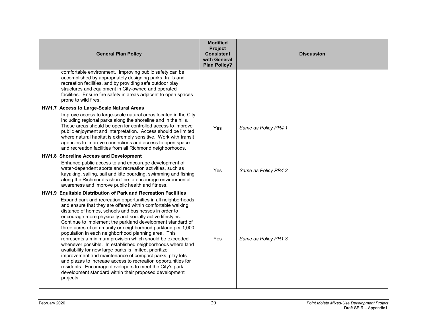| <b>General Plan Policy</b>                                                                                                                                                                                                                                                                                                                                                                                                                                                                                                                                                                                                                                                                                                                                                                                                                                                                                                                                 | <b>Modified</b><br><b>Project</b><br><b>Consistent</b><br>with General<br><b>Plan Policy?</b> | <b>Discussion</b>    |
|------------------------------------------------------------------------------------------------------------------------------------------------------------------------------------------------------------------------------------------------------------------------------------------------------------------------------------------------------------------------------------------------------------------------------------------------------------------------------------------------------------------------------------------------------------------------------------------------------------------------------------------------------------------------------------------------------------------------------------------------------------------------------------------------------------------------------------------------------------------------------------------------------------------------------------------------------------|-----------------------------------------------------------------------------------------------|----------------------|
| comfortable environment. Improving public safety can be<br>accomplished by appropriately designing parks, trails and<br>recreation facilities, and by providing safe outdoor play<br>structures and equipment in City-owned and operated<br>facilities. Ensure fire safety in areas adjacent to open spaces<br>prone to wild fires.                                                                                                                                                                                                                                                                                                                                                                                                                                                                                                                                                                                                                        |                                                                                               |                      |
| HW1.7 Access to Large-Scale Natural Areas<br>Improve access to large-scale natural areas located in the City<br>including regional parks along the shoreline and in the hills.<br>These areas should be open for controlled access to improve<br>public enjoyment and interpretation. Access should be limited<br>where natural habitat is extremely sensitive. Work with transit<br>agencies to improve connections and access to open space<br>and recreation facilities from all Richmond neighborhoods.                                                                                                                                                                                                                                                                                                                                                                                                                                                | Yes                                                                                           | Same as Policy PR4.1 |
| HW1.8 Shoreline Access and Development<br>Enhance public access to and encourage development of<br>water-dependent sports and recreation activities, such as<br>kayaking, sailing, sail and kite boarding, swimming and fishing<br>along the Richmond's shoreline to encourage environmental<br>awareness and improve public health and fitness.                                                                                                                                                                                                                                                                                                                                                                                                                                                                                                                                                                                                           | <b>Yes</b>                                                                                    | Same as Policy PR4.2 |
| HW1.9 Equitable Distribution of Park and Recreation Facilities<br>Expand park and recreation opportunities in all neighborhoods<br>and ensure that they are offered within comfortable walking<br>distance of homes, schools and businesses in order to<br>encourage more physically and socially active lifestyles.<br>Continue to implement the parkland development standard of<br>three acres of community or neighborhood parkland per 1,000<br>population in each neighborhood planning area. This<br>represents a minimum provision which should be exceeded<br>whenever possible. In established neighborhoods where land<br>availability for new large parks is limited, prioritize<br>improvement and maintenance of compact parks, play lots<br>and plazas to increase access to recreation opportunities for<br>residents. Encourage developers to meet the City's park<br>development standard within their proposed development<br>projects. | <b>Yes</b>                                                                                    | Same as Policy PR1.3 |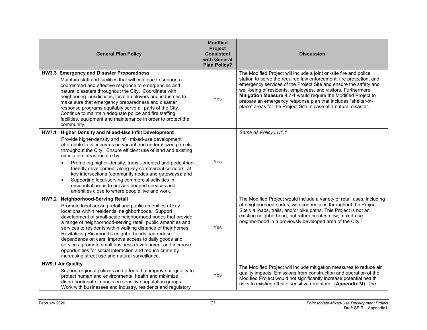|              | <b>General Plan Policy</b>                                                                                                                                                                                                                                                                                                                                                                                                                                                                                                                                                                                                                    | <b>Modified</b><br>Project<br><b>Consistent</b><br>with General<br><b>Plan Policy?</b> | <b>Discussion</b>                                                                                                                                                                                                                                                                                                                                                                                                                                                                     |
|--------------|-----------------------------------------------------------------------------------------------------------------------------------------------------------------------------------------------------------------------------------------------------------------------------------------------------------------------------------------------------------------------------------------------------------------------------------------------------------------------------------------------------------------------------------------------------------------------------------------------------------------------------------------------|----------------------------------------------------------------------------------------|---------------------------------------------------------------------------------------------------------------------------------------------------------------------------------------------------------------------------------------------------------------------------------------------------------------------------------------------------------------------------------------------------------------------------------------------------------------------------------------|
|              | HW3.3 Emergency and Disaster Preparedness<br>Maintain staff and facilities that will continue to support a<br>coordinated and effective response to emergencies and<br>natural disasters throughout the City. Coordinate with<br>neighboring jurisdictions, local employers and industries to<br>make sure that emergency preparedness and disaster<br>response programs equitably serve all parts of the City.<br>Continue to maintain adequate police and fire staffing,<br>facilities, equipment and maintenance in order to protect the<br>community.                                                                                     | Yes                                                                                    | The Modified Project will include a joint on-site fire and police<br>station to serve the required law enforcement, fire protection, and<br>emergency services of the Project Site and ensure the safety and<br>well-being of residents, employees, and visitors. Furthermore,<br>Mitigation Measure 4.7-1 would require the Modified Project to<br>prepare an emergency response plan that includes "shelter-in-<br>place" areas for the Project Site in case of a natural disaster. |
| <b>HW7.1</b> | Higher Density and Mixed-Use Infill Development<br>Provide higher-density and infill mixed-use development<br>affordable to all incomes on vacant and underutilized parcels<br>throughout the City. Ensure efficient use of land and existing<br>circulation infrastructure by:<br>Promoting higher-density, transit-oriented and pedestrian-<br>friendly development along key commercial corridors, at<br>key intersections (community nodes and gateways); and<br>Supporting local-serving commercial activities in<br>residential areas to provide needed services and<br>amenities close to where people live and work.                  | Yes                                                                                    | Same as Policy LU1.1                                                                                                                                                                                                                                                                                                                                                                                                                                                                  |
| <b>HW7.2</b> | <b>Neighborhood-Serving Retail</b><br>Promote local-serving retail and public amenities at key<br>locations within residential neighborhoods. Support<br>development of small-scale neighborhood nodes that provide<br>a range of neighborhood-serving retail, public amenities and<br>services to residents within walking distance of their homes.<br>Revitalizing Richmond's neighborhoods can reduce<br>dependence on cars, improve access to daily goods and<br>services, promote small business development and increase<br>opportunities for social interaction and reduce crime by<br>increasing street use and natural surveillance. | Yes                                                                                    | The Modified Project would include a variety of retail uses, including<br>at neighborhood nodes, with connections throughout the Project<br>Site via roads, trails, and/or bike paths. This Project is not an<br>existing neighborhood, but rather creates new, mixed-use<br>neighborhood in a previously developed area of the City.                                                                                                                                                 |
|              | <b>HW9.1 Air Quality</b><br>Support regional policies and efforts that improve air quality to<br>protect human and environmental health and minimize<br>disproportionate impacts on sensitive population groups.<br>Work with businesses and industry, residents and regulatory                                                                                                                                                                                                                                                                                                                                                               | Yes                                                                                    | The Modified Project will include mitigation measures to reduce air<br>quality impacts. Emissions from construction and operation of the<br>Modified Project would not significantly increase potential health<br>risks to existing off-site sensitive receptors. (Appendix M). The                                                                                                                                                                                                   |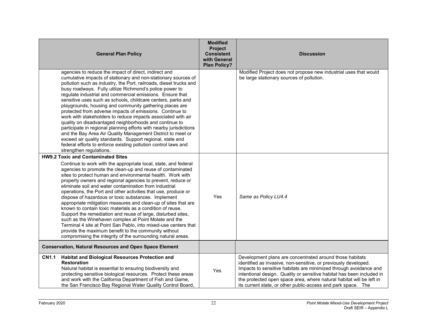|              | <b>General Plan Policy</b>                                                                                                                                                                                                                                                                                                                                                                                                                                                                                                                                                                                                                                                                                                                                                                                                                                                                                                                    | <b>Modified</b><br>Project<br><b>Consistent</b><br>with General<br><b>Plan Policy?</b> | <b>Discussion</b>                                                                                                                                                                                                                                                                                                                                                                                                  |
|--------------|-----------------------------------------------------------------------------------------------------------------------------------------------------------------------------------------------------------------------------------------------------------------------------------------------------------------------------------------------------------------------------------------------------------------------------------------------------------------------------------------------------------------------------------------------------------------------------------------------------------------------------------------------------------------------------------------------------------------------------------------------------------------------------------------------------------------------------------------------------------------------------------------------------------------------------------------------|----------------------------------------------------------------------------------------|--------------------------------------------------------------------------------------------------------------------------------------------------------------------------------------------------------------------------------------------------------------------------------------------------------------------------------------------------------------------------------------------------------------------|
|              | agencies to reduce the impact of direct, indirect and<br>cumulative impacts of stationary and non-stationary sources of<br>pollution such as industry, the Port, railroads, diesel trucks and<br>busy roadways. Fully utilize Richmond's police power to<br>regulate industrial and commercial emissions. Ensure that<br>sensitive uses such as schools, childcare centers, parks and<br>playgrounds, housing and community gathering places are<br>protected from adverse impacts of emissions. Continue to<br>work with stakeholders to reduce impacts associated with air<br>quality on disadvantaged neighborhoods and continue to<br>participate in regional planning efforts with nearby jurisdictions<br>and the Bay Area Air Quality Management District to meet or<br>exceed air quality standards. Support regional, state and<br>federal efforts to enforce existing pollution control laws and<br>strengthen regulations.         |                                                                                        | Modified Project does not propose new industrial uses that would<br>be large stationary sources of pollution.                                                                                                                                                                                                                                                                                                      |
|              | <b>HW9.2 Toxic and Contaminated Sites</b><br>Continue to work with the appropriate local, state, and federal<br>agencies to promote the clean-up and reuse of contaminated<br>sites to protect human and environmental health. Work with<br>property owners and regional agencies to prevent, reduce or<br>eliminate soil and water contamination from industrial<br>operations, the Port and other activities that use, produce or<br>dispose of hazardous or toxic substances. Implement<br>appropriate mitigation measures and clean-up of sites that are<br>known to contain toxic materials as a condition of reuse.<br>Support the remediation and reuse of large, disturbed sites,<br>such as the Winehaven complex at Point Molate and the<br>Terminal 4 site at Point San Pablo, into mixed-use centers that<br>provide the maximum benefit to the community without<br>compromising the integrity of the surrounding natural areas. | Yes                                                                                    | Same as Policy LU4.4                                                                                                                                                                                                                                                                                                                                                                                               |
|              | <b>Conservation, Natural Resources and Open Space Element</b>                                                                                                                                                                                                                                                                                                                                                                                                                                                                                                                                                                                                                                                                                                                                                                                                                                                                                 |                                                                                        |                                                                                                                                                                                                                                                                                                                                                                                                                    |
| <b>CN1.1</b> | Habitat and Biological Resources Protection and<br><b>Restoration</b><br>Natural habitat is essential to ensuring biodiversity and<br>protecting sensitive biological resources. Protect these areas<br>and work with the California Department of Fish and Game,<br>the San Francisco Bay Regional Water Quality Control Board,                                                                                                                                                                                                                                                                                                                                                                                                                                                                                                                                                                                                              | Yes                                                                                    | Development plans are concentrated around those habitats<br>identified as invasive, non-sensitive, or previously developed.<br>Impacts to sensitive habitats are minimized through avoidance and<br>intentional design. Quality or sensitive habitat has been included in<br>the protected open space area, where natural habitat will be left in<br>its current state, or other public-access and park space. The |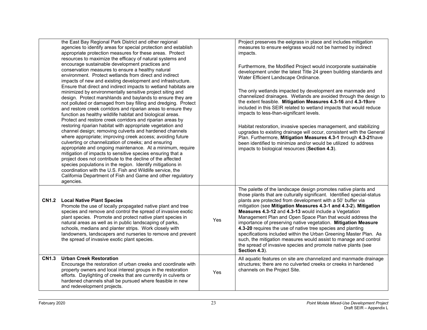|              | the East Bay Regional Park District and other regional<br>agencies to identify areas for special protection and establish<br>appropriate protection measures for these areas. Protect<br>resources to maximize the efficacy of natural systems and<br>encourage sustainable development practices and<br>conservation measures to ensure a healthy natural<br>environment. Protect wetlands from direct and indirect<br>impacts of new and existing development and infrastructure.<br>Ensure that direct and indirect impacts to wetland habitats are<br>minimized by environmentally sensitive project siting and<br>design. Protect marshlands and baylands to ensure they are<br>not polluted or damaged from bay filling and dredging. Protect<br>and restore creek corridors and riparian areas to ensure they<br>function as healthy wildlife habitat and biological areas.<br>Protect and restore creek corridors and riparian areas by<br>restoring riparian habitat with appropriate vegetation and<br>channel design; removing culverts and hardened channels<br>where appropriate; improving creek access; avoiding future<br>culverting or channelization of creeks; and ensuring<br>appropriate and ongoing maintenance. At a minimum, require<br>mitigation of impacts to sensitive species ensuring that a<br>project does not contribute to the decline of the affected<br>species populations in the region. Identify mitigations in<br>coordination with the U.S. Fish and Wildlife service, the<br>California Department of Fish and Game and other regulatory<br>agencies. |     | Project preserves the eelgrass in place and includes mitigation<br>measures to ensure eelgrass would not be harmed by indirect<br>impacts.<br>Furthermore, the Modified Project would incorporate sustainable<br>development under the latest Title 24 green building standards and<br>Water Efficient Landscape Ordinance.<br>The only wetlands impacted by development are manmade and<br>channelized drainages. Wetlands are avoided through the design to<br>the extent feasible. Mitigation Measures 4.3-16 and 4.3-19are<br>included in this SEIR related to wetland impacts that would reduce<br>impacts to less-than-significant levels.<br>Habitat restoration, invasive species management, and stabilizing<br>upgrades to existing drainage will occur, consistent with the General<br>Plan. Furthermore, Mitigation Measures 4.3-1 through 4.3-21 have<br>been identified to minimize and/or would be utilized to address<br>impacts to biological resources (Section 4.3). |
|--------------|-------------------------------------------------------------------------------------------------------------------------------------------------------------------------------------------------------------------------------------------------------------------------------------------------------------------------------------------------------------------------------------------------------------------------------------------------------------------------------------------------------------------------------------------------------------------------------------------------------------------------------------------------------------------------------------------------------------------------------------------------------------------------------------------------------------------------------------------------------------------------------------------------------------------------------------------------------------------------------------------------------------------------------------------------------------------------------------------------------------------------------------------------------------------------------------------------------------------------------------------------------------------------------------------------------------------------------------------------------------------------------------------------------------------------------------------------------------------------------------------------------------------------------------------------------------------------------------------------|-----|-----------------------------------------------------------------------------------------------------------------------------------------------------------------------------------------------------------------------------------------------------------------------------------------------------------------------------------------------------------------------------------------------------------------------------------------------------------------------------------------------------------------------------------------------------------------------------------------------------------------------------------------------------------------------------------------------------------------------------------------------------------------------------------------------------------------------------------------------------------------------------------------------------------------------------------------------------------------------------------------|
| <b>CN1.2</b> | <b>Local Native Plant Species</b><br>Promote the use of locally propagated native plant and tree<br>species and remove and control the spread of invasive exotic<br>plant species. Promote and protect native plant species in<br>natural areas as well as in public landscaping of parks,<br>schools, medians and planter strips. Work closely with<br>landowners, landscapers and nurseries to remove and prevent<br>the spread of invasive exotic plant species.                                                                                                                                                                                                                                                                                                                                                                                                                                                                                                                                                                                                                                                                                                                                                                                                                                                                                                                                                                                                                                                                                                                             | Yes | The palette of the landscape design promotes native plants and<br>those plants that are culturally significant. Identified special-status<br>plants are protected from development with a 50' buffer via<br>mitigation (see Mitigation Measures 4.3-1 and 4.3-2). Mitigation<br>Measures 4.3-12 and 4.3-13 would include a Vegetation<br>Management Plan and Open Space Plan that would address the<br>importance of preserving native vegetation. Mitigation Measure<br>4.3-20 requires the use of native tree species and planting<br>specifications included within the Urban Greening Master Plan. As<br>such, the mitigation measures would assist to manage and control<br>the spread of invasive species and promote native plants (see<br>Section 4.3).                                                                                                                                                                                                                         |
| <b>CN1.3</b> | <b>Urban Creek Restoration</b><br>Encourage the restoration of urban creeks and coordinate with<br>property owners and local interest groups in the restoration<br>efforts. Daylighting of creeks that are currently in culverts or<br>hardened channels shall be pursued where feasible in new<br>and redevelopment projects.                                                                                                                                                                                                                                                                                                                                                                                                                                                                                                                                                                                                                                                                                                                                                                                                                                                                                                                                                                                                                                                                                                                                                                                                                                                                  | Yes | All aquatic features on site are channelized and manmade drainage<br>structures; there are no culverted creeks or creeks in hardened<br>channels on the Project Site.                                                                                                                                                                                                                                                                                                                                                                                                                                                                                                                                                                                                                                                                                                                                                                                                                   |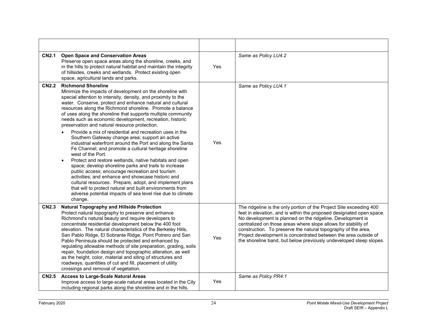| <b>CN2.1</b> | <b>Open Space and Conservation Areas</b><br>Preserve open space areas along the shoreline, creeks, and<br>in the hills to protect natural habitat and maintain the integrity<br>of hillsides, creeks and wetlands. Protect existing open<br>space, agricultural lands and parks.                                                                                                                                                                                                                                                                                                                                                                                                                                                                                                                                                                                                                                                                                                                                                                                                                                                                                | Yes | Same as Policy LU4.2                                                                                                                                                                                                                                                                                                                                                                                                                                                                  |
|--------------|-----------------------------------------------------------------------------------------------------------------------------------------------------------------------------------------------------------------------------------------------------------------------------------------------------------------------------------------------------------------------------------------------------------------------------------------------------------------------------------------------------------------------------------------------------------------------------------------------------------------------------------------------------------------------------------------------------------------------------------------------------------------------------------------------------------------------------------------------------------------------------------------------------------------------------------------------------------------------------------------------------------------------------------------------------------------------------------------------------------------------------------------------------------------|-----|---------------------------------------------------------------------------------------------------------------------------------------------------------------------------------------------------------------------------------------------------------------------------------------------------------------------------------------------------------------------------------------------------------------------------------------------------------------------------------------|
| <b>CN2.2</b> | <b>Richmond Shoreline</b><br>Minimize the impacts of development on the shoreline with<br>special attention to intensity, density, and proximity to the<br>water. Conserve, protect and enhance natural and cultural<br>resources along the Richmond shoreline. Promote a balance<br>of uses along the shoreline that supports multiple community<br>needs such as economic development, recreation, historic<br>preservation and natural resource protection.<br>Provide a mix of residential and recreation uses in the<br>Southern Gateway change area; support an active<br>industrial waterfront around the Port and along the Santa<br>Fe Channel; and promote a cultural heritage shoreline<br>west of the Port.<br>Protect and restore wetlands, native habitats and open<br>$\bullet$<br>space; develop shoreline parks and trails to increase<br>public access; encourage recreation and tourism<br>activities; and enhance and showcase historic and<br>cultural resources. Prepare, adopt, and implement plans<br>that will to protect natural and built environments from<br>adverse potential impacts of sea level rise due to climate<br>change. | Yes | Same as Policy LU4.1                                                                                                                                                                                                                                                                                                                                                                                                                                                                  |
| <b>CN2.3</b> | <b>Natural Topography and Hillside Protection</b><br>Protect natural topography to preserve and enhance<br>Richmond's natural beauty and require developers to<br>concentrate residential development below the 400 foot<br>elevation. The natural characteristics of the Berkeley Hills,<br>San Pablo Ridge, El Sobrante Ridge, Point Potrero and San<br>Pablo Peninsula should be protected and enhanced by<br>regulating allowable methods of site preparation, grading, soils<br>repair, foundation design and topographic alteration, as well<br>as the height, color, material and siting of structures and<br>roadways, quantities of cut and fill, placement of utility<br>crossings and removal of vegetation.                                                                                                                                                                                                                                                                                                                                                                                                                                         | Yes | The ridgeline is the only portion of the Project Site exceeding 400<br>feet in elevation, and is within the proposed designated open space.<br>No development is planned on the ridgeline. Development is<br>centralized on those areas where slope allows for stability of<br>construction. To preserve the natural topography of the area,<br>Project development is concentrated between the area outside of<br>the shoreline band, but below previously undeveloped steep slopes. |
| <b>CN2.5</b> | <b>Access to Large-Scale Natural Areas</b><br>Improve access to large-scale natural areas located in the City<br>including regional parks along the shoreline and in the hills.                                                                                                                                                                                                                                                                                                                                                                                                                                                                                                                                                                                                                                                                                                                                                                                                                                                                                                                                                                                 | Yes | Same as Policy PR4.1                                                                                                                                                                                                                                                                                                                                                                                                                                                                  |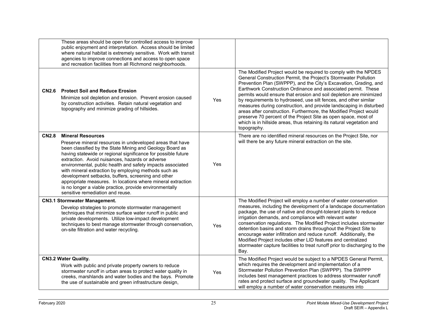|              | These areas should be open for controlled access to improve<br>public enjoyment and interpretation. Access should be limited<br>where natural habitat is extremely sensitive. Work with transit<br>agencies to improve connections and access to open space<br>and recreation facilities from all Richmond neighborhoods.                                                                                                                                                                                                                                                                                       |     |                                                                                                                                                                                                                                                                                                                                                                                                                                                                                                                                                                                                                                                                                                                        |
|--------------|-----------------------------------------------------------------------------------------------------------------------------------------------------------------------------------------------------------------------------------------------------------------------------------------------------------------------------------------------------------------------------------------------------------------------------------------------------------------------------------------------------------------------------------------------------------------------------------------------------------------|-----|------------------------------------------------------------------------------------------------------------------------------------------------------------------------------------------------------------------------------------------------------------------------------------------------------------------------------------------------------------------------------------------------------------------------------------------------------------------------------------------------------------------------------------------------------------------------------------------------------------------------------------------------------------------------------------------------------------------------|
| <b>CN2.6</b> | <b>Protect Soil and Reduce Erosion</b><br>Minimize soil depletion and erosion. Prevent erosion caused<br>by construction activities. Retain natural vegetation and<br>topography and minimize grading of hillsides.                                                                                                                                                                                                                                                                                                                                                                                             | Yes | The Modified Project would be required to comply with the NPDES<br>General Construction Permit, the Project's Stormwater Pollution<br>Prevention Plan (SWPPP), and the City's Excavation, Grading, and<br>Earthwork Construction Ordinance and associated permit. These<br>permits would ensure that erosion and soil depletion are minimized<br>by requirements to hydroseed, use silt fences, and other similar<br>measures during construction, and provide landscaping in disturbed<br>areas after construction. Furthermore, the Modified Project would<br>preserve 70 percent of the Project Site as open space, most of<br>which is in hillside areas, thus retaining its natural vegetation and<br>topography. |
| <b>CN2.8</b> | <b>Mineral Resources</b><br>Preserve mineral resources in undeveloped areas that have<br>been classified by the State Mining and Geology Board as<br>having statewide or regional significance for possible future<br>extraction. Avoid nuisances, hazards or adverse<br>environmental, public health and safety impacts associated<br>with mineral extraction by employing methods such as<br>development setbacks, buffers, screening and other<br>appropriate measures. In locations where mineral extraction<br>is no longer a viable practice, provide environmentally<br>sensitive remediation and reuse. | Yes | There are no identified mineral resources on the Project Site, nor<br>will there be any future mineral extraction on the site.                                                                                                                                                                                                                                                                                                                                                                                                                                                                                                                                                                                         |
|              | <b>CN3.1 Stormwater Management.</b><br>Develop strategies to promote stormwater management<br>techniques that minimize surface water runoff in public and<br>private developments. Utilize low-impact development<br>techniques to best manage stormwater through conservation,<br>on-site filtration and water recycling.                                                                                                                                                                                                                                                                                      | Yes | The Modified Project will employ a number of water conservation<br>measures, including the development of a landscape documentation<br>package, the use of native and drought-tolerant plants to reduce<br>irrigation demands, and compliance with relevant water<br>conservation regulations. The Modified Project includes stormwater<br>detention basins and storm drains throughout the Project Site to<br>encourage water infiltration and reduce runoff. Additionally, the<br>Modified Project includes other LID features and centralized<br>stormwater capture facilities to treat runoff prior to discharging to the<br>Bay.                                                                                  |
|              | <b>CN3.2 Water Quality.</b><br>Work with public and private property owners to reduce<br>stormwater runoff in urban areas to protect water quality in<br>creeks, marshlands and water bodies and the bays. Promote<br>the use of sustainable and green infrastructure design,                                                                                                                                                                                                                                                                                                                                   | Yes | The Modified Project would be subject to a NPDES General Permit,<br>which requires the development and implementation of a<br>Stormwater Pollution Prevention Plan (SWPPP). The SWPPP<br>includes best management practices to address stormwater runoff<br>rates and protect surface and groundwater quality. The Applicant<br>will employ a number of water conservation measures into                                                                                                                                                                                                                                                                                                                               |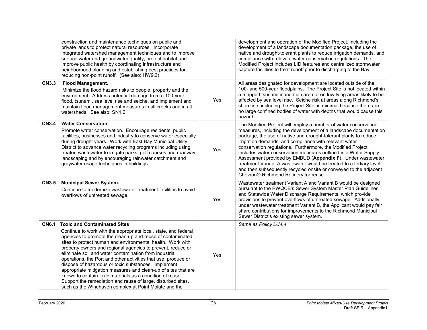|              | construction and maintenance techniques on public and<br>private lands to protect natural resources. Incorporate<br>integrated watershed management techniques and to improve<br>surface water and groundwater quality, protect habitat and<br>improve public health by coordinating infrastructure and<br>neighborhood planning and establishing best practices for<br>reducing non-point runoff. (See also: HW9.3)                                                                                                                                                                                                                                                                                                                         |     | development and operation of the Modified Project, including the<br>development of a landscape documentation package, the use of<br>native and drought-tolerant plants to reduce irrigation demands, and<br>compliance with relevant water conservation regulations. The<br>Modified Project includes LID features and centralized stormwater<br>capture facilities to treat runoff prior to discharging to the Bay.                                                                                                                                                                                                                                    |
|--------------|----------------------------------------------------------------------------------------------------------------------------------------------------------------------------------------------------------------------------------------------------------------------------------------------------------------------------------------------------------------------------------------------------------------------------------------------------------------------------------------------------------------------------------------------------------------------------------------------------------------------------------------------------------------------------------------------------------------------------------------------|-----|---------------------------------------------------------------------------------------------------------------------------------------------------------------------------------------------------------------------------------------------------------------------------------------------------------------------------------------------------------------------------------------------------------------------------------------------------------------------------------------------------------------------------------------------------------------------------------------------------------------------------------------------------------|
| <b>CN3.3</b> | <b>Flood Management.</b><br>Minimize the flood hazard risks to people, property and the<br>environment. Address potential damage from a 100-year<br>flood, tsunami, sea level rise and seiche, and implement and<br>maintain flood management measures in all creeks and in all<br>watersheds. See also: SN1.2                                                                                                                                                                                                                                                                                                                                                                                                                               | Yes | All areas designated for development are located outside of the<br>100- and 500-year floodplains. The Project Site is not located within<br>a mapped tsunami inundation area or on low-lying areas likely to be<br>affected by sea level rise. Seiche risk at areas along Richmond's<br>shoreline, including the Project Site, is minimal because there are<br>no large confined bodies of water with depths that would cause this<br>hazard.                                                                                                                                                                                                           |
| <b>CN3.4</b> | <b>Water Conservation.</b><br>Promote water conservation. Encourage residents, public<br>facilities, businesses and industry to conserve water especially<br>during drought years. Work with East Bay Municipal Utility<br>District to advance water recycling programs including using<br>treated wastewater to irrigate parks, golf courses and roadway<br>landscaping and by encouraging rainwater catchment and<br>graywater usage techniques in buildings.                                                                                                                                                                                                                                                                              | Yes | The Modified Project will employ a number of water conservation<br>measures, including the development of a landscape documentation<br>package, the use of native and drought-tolerant plants to reduce<br>irrigation demands, and compliance with relevant water<br>conservation regulations. Furthermore, the Modified Project<br>includes water conservation measures outlined in a Water Supply<br>Assessment provided by EMBUD (Appendix F). Under wastewater<br>treatment Variant A wastewater would be treated to a tertiary level<br>and then subsequently recycled onsite or conveyed to the adjacent<br>Chevron®-Richmond Refinery for reuse. |
| <b>CN3.5</b> | <b>Municipal Sewer System.</b><br>Continue to modernize wastewater treatment facilities to avoid<br>overflows of untreated sewage.                                                                                                                                                                                                                                                                                                                                                                                                                                                                                                                                                                                                           | Yes | Wastewater treatment Variant A and Variant B would be designed<br>pursuant to the RWQCB's Sewer System Master Plan Guidelines<br>and Statewide Water Discharge Requirements, which provide<br>provisions to prevent overflows of untreated sewage. Additionally,<br>under wastewater treatment Variant B, the Applicant would pay fair<br>share contributions for improvements to the Richmond Municipal<br>Sewer District's existing sewer system.                                                                                                                                                                                                     |
| <b>CN6.1</b> | <b>Toxic and Contaminated Sites</b><br>Continue to work with the appropriate local, state, and federal<br>agencies to promote the clean-up and reuse of contaminated<br>sites to protect human and environmental health. Work with<br>property owners and regional agencies to prevent, reduce or<br>eliminate soil and water contamination from industrial<br>operations, the Port and other activities that use, produce or<br>dispose of hazardous or toxic substances. Implement<br>appropriate mitigation measures and clean-up of sites that are<br>known to contain toxic materials as a condition of reuse.<br>Support the remediation and reuse of large, disturbed sites,<br>such as the Winehaven complex at Point Molate and the | Yes | Same as Policy LU4.4                                                                                                                                                                                                                                                                                                                                                                                                                                                                                                                                                                                                                                    |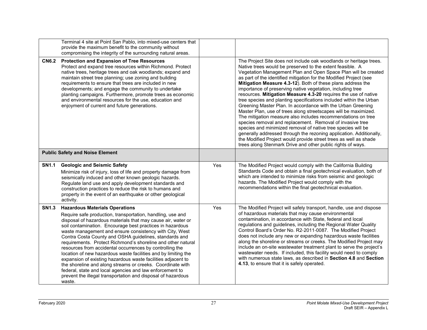|              | Terminal 4 site at Point San Pablo, into mixed-use centers that<br>provide the maximum benefit to the community without<br>compromising the integrity of the surrounding natural areas.                                                                                                                                                                                                                                                                                                                                                                                                                                                                                                                                                                                                                                 |     |                                                                                                                                                                                                                                                                                                                                                                                                                                                                                                                                                                                                                                                                                                                                                                                                                                                                                                                                                                                                                                                                                        |
|--------------|-------------------------------------------------------------------------------------------------------------------------------------------------------------------------------------------------------------------------------------------------------------------------------------------------------------------------------------------------------------------------------------------------------------------------------------------------------------------------------------------------------------------------------------------------------------------------------------------------------------------------------------------------------------------------------------------------------------------------------------------------------------------------------------------------------------------------|-----|----------------------------------------------------------------------------------------------------------------------------------------------------------------------------------------------------------------------------------------------------------------------------------------------------------------------------------------------------------------------------------------------------------------------------------------------------------------------------------------------------------------------------------------------------------------------------------------------------------------------------------------------------------------------------------------------------------------------------------------------------------------------------------------------------------------------------------------------------------------------------------------------------------------------------------------------------------------------------------------------------------------------------------------------------------------------------------------|
| <b>CN6.2</b> | <b>Protection and Expansion of Tree Resources</b><br>Protect and expand tree resources within Richmond. Protect<br>native trees, heritage trees and oak woodlands; expand and<br>maintain street tree planning; use zoning and building<br>requirements to ensure that trees are included in new<br>developments; and engage the community to undertake<br>planting campaigns. Furthermore, promote trees as economic<br>and environmental resources for the use, education and<br>enjoyment of current and future generations.                                                                                                                                                                                                                                                                                         |     | The Project Site does not include oak woodlands or heritage trees.<br>Native trees would be preserved to the extent feasible. A<br>Vegetation Management Plan and Open Space Plan will be created<br>as part of the identified mitigation for the Modified Project (see<br>Mitigation Measure 4.3-12). Both of these plans address the<br>importance of preserving native vegetation, including tree<br>resources. Mitigation Measure 4.3-20 requires the use of native<br>tree species and planting specifications included within the Urban<br>Greening Master Plan. In accordance with the Urban Greening<br>Master Plan, use of trees along streetscapes will be maximized.<br>The mitigation measure also includes recommendations on tree<br>species removal and replacement. Removal of invasive tree<br>species and minimized removal of native tree species will be<br>generally addressed through the rezoning application. Additionally,<br>the Modified Project would provide street trees as well as shade<br>trees along Stenmark Drive and other public rights of ways. |
|              | <b>Public Safety and Noise Element</b>                                                                                                                                                                                                                                                                                                                                                                                                                                                                                                                                                                                                                                                                                                                                                                                  |     |                                                                                                                                                                                                                                                                                                                                                                                                                                                                                                                                                                                                                                                                                                                                                                                                                                                                                                                                                                                                                                                                                        |
| <b>SN1.1</b> | <b>Geologic and Seismic Safety</b><br>Minimize risk of injury, loss of life and property damage from<br>seismically induced and other known geologic hazards.<br>Regulate land use and apply development standards and<br>construction practices to reduce the risk to humans and<br>property in the event of an earthquake or other geological<br>activity.                                                                                                                                                                                                                                                                                                                                                                                                                                                            | Yes | The Modified Project would comply with the California Building<br>Standards Code and obtain a final geotechnical evaluation, both of<br>which are intended to minimize risks from seismic and geologic<br>hazards. The Modified Project would comply with the<br>recommendations within the final geotechnical evaluation.                                                                                                                                                                                                                                                                                                                                                                                                                                                                                                                                                                                                                                                                                                                                                             |
| <b>SN1.3</b> | <b>Hazardous Materials Operations</b><br>Require safe production, transportation, handling, use and<br>disposal of hazardous materials that may cause air, water or<br>soil contamination. Encourage best practices in hazardous<br>waste management and ensure consistency with City, West<br>Contra Costa County and OSHA guidelines, standards and<br>requirements. Protect Richmond's shoreline and other natural<br>resources from accidental occurrences by controlling the<br>location of new hazardous waste facilities and by limiting the<br>expansion of existing hazardous waste facilities adjacent to<br>the shoreline and along streams or creeks. Coordinate with<br>federal, state and local agencies and law enforcement to<br>prevent the illegal transportation and disposal of hazardous<br>waste. | Yes | The Modified Project will safely transport, handle, use and dispose<br>of hazardous materials that may cause environmental<br>contamination, in accordance with State, federal and local<br>regulations and guidelines, including the Regional Water Quality<br>Control Board's Order No. R2-2011-0087. The Modified Project<br>does not include any new or expanding hazardous waste facilities<br>along the shoreline or streams or creeks. The Modified Project may<br>include an on-site wastewater treatment plant to serve the project's<br>wastewater needs. If included, this facility would need to comply<br>with numerous state laws, as described in Section 4.8 and Section<br>4.13, to ensure that it is safely operated.                                                                                                                                                                                                                                                                                                                                                |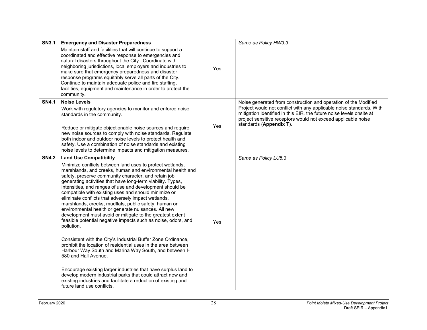| <b>SN3.1</b> | <b>Emergency and Disaster Preparedness</b>                                                                                                                                                                                                                                                                                                                                                                                                                                                                                                                                                                                                                                                                                                                                                                                                                                       |     | Same as Policy HW3.3                                                                                                                                                                                                                     |
|--------------|----------------------------------------------------------------------------------------------------------------------------------------------------------------------------------------------------------------------------------------------------------------------------------------------------------------------------------------------------------------------------------------------------------------------------------------------------------------------------------------------------------------------------------------------------------------------------------------------------------------------------------------------------------------------------------------------------------------------------------------------------------------------------------------------------------------------------------------------------------------------------------|-----|------------------------------------------------------------------------------------------------------------------------------------------------------------------------------------------------------------------------------------------|
|              | Maintain staff and facilities that will continue to support a<br>coordinated and effective response to emergencies and<br>natural disasters throughout the City. Coordinate with<br>neighboring jurisdictions, local employers and industries to<br>make sure that emergency preparedness and disaster<br>response programs equitably serve all parts of the City.<br>Continue to maintain adequate police and fire staffing,<br>facilities, equipment and maintenance in order to protect the<br>community.                                                                                                                                                                                                                                                                                                                                                                     | Yes |                                                                                                                                                                                                                                          |
| <b>SN4.1</b> | <b>Noise Levels</b>                                                                                                                                                                                                                                                                                                                                                                                                                                                                                                                                                                                                                                                                                                                                                                                                                                                              |     | Noise generated from construction and operation of the Modified                                                                                                                                                                          |
|              | Work with regulatory agencies to monitor and enforce noise<br>standards in the community.                                                                                                                                                                                                                                                                                                                                                                                                                                                                                                                                                                                                                                                                                                                                                                                        |     | Project would not conflict with any applicable noise standards. With<br>mitigation identified in this EIR, the future noise levels onsite at<br>project sensitive receptors would not exceed applicable noise<br>standards (Appendix T). |
|              | Reduce or mitigate objectionable noise sources and require<br>new noise sources to comply with noise standards. Regulate                                                                                                                                                                                                                                                                                                                                                                                                                                                                                                                                                                                                                                                                                                                                                         | Yes |                                                                                                                                                                                                                                          |
|              | both indoor and outdoor noise levels to protect health and                                                                                                                                                                                                                                                                                                                                                                                                                                                                                                                                                                                                                                                                                                                                                                                                                       |     |                                                                                                                                                                                                                                          |
|              | safety. Use a combination of noise standards and existing<br>noise levels to determine impacts and mitigation measures.                                                                                                                                                                                                                                                                                                                                                                                                                                                                                                                                                                                                                                                                                                                                                          |     |                                                                                                                                                                                                                                          |
| <b>SN4.2</b> | <b>Land Use Compatibility</b>                                                                                                                                                                                                                                                                                                                                                                                                                                                                                                                                                                                                                                                                                                                                                                                                                                                    |     | Same as Policy LU5.3                                                                                                                                                                                                                     |
|              | Minimize conflicts between land uses to protect wetlands,<br>marshlands, and creeks, human and environmental health and<br>safety, preserve community character, and retain job<br>generating activities that have long-term viability. Types,<br>intensities, and ranges of use and development should be<br>compatible with existing uses and should minimize or<br>eliminate conflicts that adversely impact wetlands,<br>marshlands, creeks, mudflats, public safety, human or<br>environmental health or generate nuisances. All new<br>development must avoid or mitigate to the greatest extent<br>feasible potential negative impacts such as noise, odors, and<br>pollution.<br>Consistent with the City's Industrial Buffer Zone Ordinance,<br>prohibit the location of residential uses in the area between<br>Harbour Way South and Marina Way South, and between I- | Yes |                                                                                                                                                                                                                                          |
|              | 580 and Hall Avenue.<br>Encourage existing larger industries that have surplus land to<br>develop modern industrial parks that could attract new and<br>existing industries and facilitate a reduction of existing and<br>future land use conflicts.                                                                                                                                                                                                                                                                                                                                                                                                                                                                                                                                                                                                                             |     |                                                                                                                                                                                                                                          |
|              |                                                                                                                                                                                                                                                                                                                                                                                                                                                                                                                                                                                                                                                                                                                                                                                                                                                                                  |     |                                                                                                                                                                                                                                          |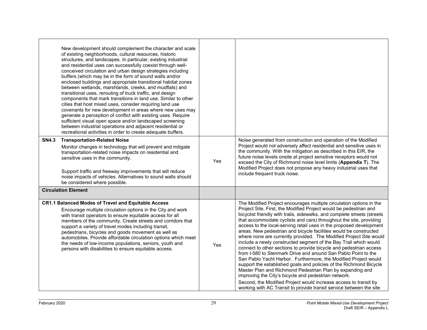|              | New development should complement the character and scale<br>of existing neighborhoods, cultural resources, historic<br>structures, and landscapes. In particular, existing industrial<br>and residential uses can successfully coexist through well-<br>conceived circulation and urban design strategies including<br>buffers (which may be in the form of sound walls and/or<br>enclosed buildings and appropriate transitional habitat zones<br>between wetlands, marshlands, creeks, and mudflats) and<br>transitional uses, rerouting of truck traffic, and design<br>components that mark transitions in land use. Similar to other<br>cities that host mixed uses, consider requiring land use<br>covenants for new development in areas where new uses may<br>generate a perception of conflict with existing uses. Require<br>sufficient visual open space and/or landscaped screening<br>between industrial operations and adjacent residential or<br>recreational activities in order to create adequate buffers. |     |                                                                                                                                                                                                                                                                                                                                                                                                                                                                                                                                                                                                                                                                                                                                                                                                                                                                                                                                                                                                                                                                                                                                   |
|--------------|-------------------------------------------------------------------------------------------------------------------------------------------------------------------------------------------------------------------------------------------------------------------------------------------------------------------------------------------------------------------------------------------------------------------------------------------------------------------------------------------------------------------------------------------------------------------------------------------------------------------------------------------------------------------------------------------------------------------------------------------------------------------------------------------------------------------------------------------------------------------------------------------------------------------------------------------------------------------------------------------------------------------------------|-----|-----------------------------------------------------------------------------------------------------------------------------------------------------------------------------------------------------------------------------------------------------------------------------------------------------------------------------------------------------------------------------------------------------------------------------------------------------------------------------------------------------------------------------------------------------------------------------------------------------------------------------------------------------------------------------------------------------------------------------------------------------------------------------------------------------------------------------------------------------------------------------------------------------------------------------------------------------------------------------------------------------------------------------------------------------------------------------------------------------------------------------------|
| <b>SN4.3</b> | <b>Transportation-Related Noise</b><br>Monitor changes in technology that will prevent and mitigate<br>transportation-related noise impacts on residential and<br>sensitive uses in the community.<br>Support traffic and freeway improvements that will reduce<br>noise impacts of vehicles. Alternatives to sound walls should<br>be considered where possible.                                                                                                                                                                                                                                                                                                                                                                                                                                                                                                                                                                                                                                                             | Yes | Noise generated from construction and operation of the Modified<br>Project would not adversely affect residential and sensitive uses in<br>the community. With the mitigation as described in this EIR, the<br>future noise levels onsite at project sensitive receptors would not<br>exceed the City of Richmond noise level limits (Appendix T). The<br>Modified Project does not propose any heavy industrial uses that<br>include frequent truck noise.                                                                                                                                                                                                                                                                                                                                                                                                                                                                                                                                                                                                                                                                       |
|              | <b>Circulation Element</b>                                                                                                                                                                                                                                                                                                                                                                                                                                                                                                                                                                                                                                                                                                                                                                                                                                                                                                                                                                                                    |     |                                                                                                                                                                                                                                                                                                                                                                                                                                                                                                                                                                                                                                                                                                                                                                                                                                                                                                                                                                                                                                                                                                                                   |
|              | CR1.1 Balanced Modes of Travel and Equitable Access<br>Encourage multiple circulation options in the City and work<br>with transit operators to ensure equitable access for all<br>members of the community. Create streets and corridors that<br>support a variety of travel modes including transit,<br>pedestrians, bicycles and goods movement as well as<br>automobiles. Provide affordable circulation options which meet<br>the needs of low-income populations, seniors, youth and<br>persons with disabilities to ensure equitable access.                                                                                                                                                                                                                                                                                                                                                                                                                                                                           | Yes | The Modified Project encourages multiple circulation options in the<br>Project Site. First, the Modified Project would be pedestrian and<br>bicyclist friendly with trails, sidewalks, and complete streets (streets<br>that accommodate cyclists and cars) throughout the site, providing<br>access to the local-serving retail uses in the proposed development<br>areas. New pedestrian and bicycle facilities would be constructed<br>where none are currently provided. The Modified Project Site would<br>include a newly constructed segment of the Bay Trail which would<br>connect to other sections to provide bicycle and pedestrian access<br>from I-580 to Stenmark Drive and around San Pablo Point to the<br>San Pablo Yacht Harbor. Furthermore, the Modified Project would<br>support the established goals and policies of the Richmond Bicycle<br>Master Plan and Richmond Pedestrian Plan by expanding and<br>improving the City's bicycle and pedestrian network.<br>Second, the Modified Project would increase access to transit by<br>working with AC Transit to provide transit service between the site |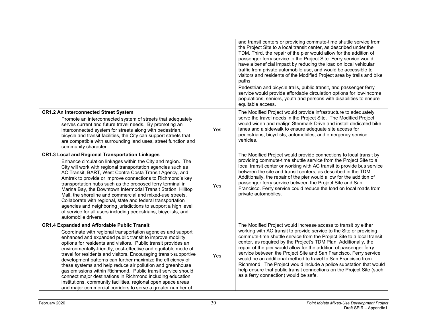|                                                                                                                                                                                                                                                                                                                                                                                                                                                                                                                                                                                                                                                                                                                                                                                     |     | and transit centers or providing commute-time shuttle service from<br>the Project Site to a local transit center, as described under the<br>TDM. Third, the repair of the pier would allow for the addition of<br>passenger ferry service to the Project Site. Ferry service would<br>have a beneficial impact by reducing the load on local vehicular<br>traffic from private automobile use, and would be accessible to<br>visitors and residents of the Modified Project area by trails and bike<br>paths.<br>Pedestrian and bicycle trails, public transit, and passenger ferry<br>service would provide affordable circulation options for low-income<br>populations, seniors, youth and persons with disabilities to ensure<br>equitable access. |
|-------------------------------------------------------------------------------------------------------------------------------------------------------------------------------------------------------------------------------------------------------------------------------------------------------------------------------------------------------------------------------------------------------------------------------------------------------------------------------------------------------------------------------------------------------------------------------------------------------------------------------------------------------------------------------------------------------------------------------------------------------------------------------------|-----|--------------------------------------------------------------------------------------------------------------------------------------------------------------------------------------------------------------------------------------------------------------------------------------------------------------------------------------------------------------------------------------------------------------------------------------------------------------------------------------------------------------------------------------------------------------------------------------------------------------------------------------------------------------------------------------------------------------------------------------------------------|
| <b>CR1.2 An Interconnected Street System</b><br>Promote an interconnected system of streets that adequately<br>serves current and future travel needs. By promoting an<br>interconnected system for streets along with pedestrian,<br>bicycle and transit facilities, the City can support streets that<br>are compatible with surrounding land uses, street function and<br>community character.                                                                                                                                                                                                                                                                                                                                                                                   | Yes | The Modified Project would provide infrastructure to adequately<br>serve the travel needs in the Project Site. The Modified Project<br>would widen and realign Stenmark Drive and install dedicated bike<br>lanes and a sidewalk to ensure adequate site access for<br>pedestrians, bicyclists, automobiles, and emergency service<br>vehicles.                                                                                                                                                                                                                                                                                                                                                                                                        |
| <b>CR1.3 Local and Regional Transportation Linkages</b><br>Enhance circulation linkages within the City and region. The<br>City will work with regional transportation agencies such as<br>AC Transit, BART, West Contra Costa Transit Agency, and<br>Amtrak to provide or improve connections to Richmond's key<br>transportation hubs such as the proposed ferry terminal in<br>Marina Bay, the Downtown Intermodal Transit Station, Hilltop<br>Mall, the shoreline and commercial and mixed-use streets.<br>Collaborate with regional, state and federal transportation<br>agencies and neighboring jurisdictions to support a high level<br>of service for all users including pedestrians, bicyclists, and<br>automobile drivers.                                              | Yes | The Modified Project would provide connections to local transit by<br>providing commute-time shuttle service from the Project Site to a<br>local transit center or working with AC transit to provide bus service<br>between the site and transit centers, as described in the TDM.<br>Additionally, the repair of the pier would allow for the addition of<br>passenger ferry service between the Project Site and San<br>Francisco. Ferry service could reduce the load on local roads from<br>private automobiles.                                                                                                                                                                                                                                  |
| <b>CR1.4 Expanded and Affordable Public Transit</b><br>Coordinate with regional transportation agencies and support<br>enhanced and expanded public transit to improve mobility<br>options for residents and visitors. Public transit provides an<br>environmentally-friendly, cost-effective and equitable mode of<br>travel for residents and visitors. Encouraging transit-supportive<br>development patterns can further maximize the efficiency of<br>these systems and help reduce air pollution and greenhouse<br>gas emissions within Richmond. Public transit service should<br>connect major destinations in Richmond including education<br>institutions, community facilities, regional open space areas<br>and major commercial corridors to serve a greater number of | Yes | The Modified Project would increase access to transit by either<br>working with AC transit to provide service to the Site or providing<br>commute-time shuttle service from the Project Site to a local transit<br>center, as required by the Project's TDM Plan. Additionally, the<br>repair of the pier would allow for the addition of passenger ferry<br>service between the Project Site and San Francisco. Ferry service<br>would be an additional method to travel to San Francisco from<br>Richmond. The Project would include a police substation that would<br>help ensure that public transit connections on the Project Site (such<br>as a ferry connection) would be safe.                                                                |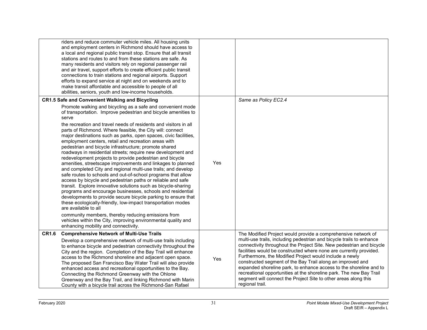|              | riders and reduce commuter vehicle miles. All housing units<br>and employment centers in Richmond should have access to<br>a local and regional public transit stop. Ensure that all transit<br>stations and routes to and from these stations are safe. As<br>many residents and visitors rely on regional passenger rail<br>and air travel, support efforts to create efficient public transit<br>connections to train stations and regional airports. Support<br>efforts to expand service at night and on weekends and to<br>make transit affordable and accessible to people of all<br>abilities, seniors, youth and low-income households.                                                                                                                                                                                                                                                                                                                                                                                                                                                                                                                                                                                                                                                               |     |                                                                                                                                                                                                                                                                                                                                                                                                                                                                                                                                                                                                                                                 |
|--------------|----------------------------------------------------------------------------------------------------------------------------------------------------------------------------------------------------------------------------------------------------------------------------------------------------------------------------------------------------------------------------------------------------------------------------------------------------------------------------------------------------------------------------------------------------------------------------------------------------------------------------------------------------------------------------------------------------------------------------------------------------------------------------------------------------------------------------------------------------------------------------------------------------------------------------------------------------------------------------------------------------------------------------------------------------------------------------------------------------------------------------------------------------------------------------------------------------------------------------------------------------------------------------------------------------------------|-----|-------------------------------------------------------------------------------------------------------------------------------------------------------------------------------------------------------------------------------------------------------------------------------------------------------------------------------------------------------------------------------------------------------------------------------------------------------------------------------------------------------------------------------------------------------------------------------------------------------------------------------------------------|
|              | CR1.5 Safe and Convenient Walking and Bicycling                                                                                                                                                                                                                                                                                                                                                                                                                                                                                                                                                                                                                                                                                                                                                                                                                                                                                                                                                                                                                                                                                                                                                                                                                                                                |     | Same as Policy EC2.4                                                                                                                                                                                                                                                                                                                                                                                                                                                                                                                                                                                                                            |
|              | Promote walking and bicycling as a safe and convenient mode<br>of transportation. Improve pedestrian and bicycle amenities to<br>serve<br>the recreation and travel needs of residents and visitors in all<br>parts of Richmond. Where feasible, the City will: connect<br>major destinations such as parks, open spaces, civic facilities,<br>employment centers, retail and recreation areas with<br>pedestrian and bicycle infrastructure; promote shared<br>roadways in residential streets; require new development and<br>redevelopment projects to provide pedestrian and bicycle<br>amenities, streetscape improvements and linkages to planned<br>and completed City and regional multi-use trails; and develop<br>safe routes to schools and out-of-school programs that allow<br>access by bicycle and pedestrian paths or reliable and safe<br>transit. Explore innovative solutions such as bicycle-sharing<br>programs and encourage businesses, schools and residential<br>developments to provide secure bicycle parking to ensure that<br>these ecologically-friendly, low-impact transportation modes<br>are available to all<br>community members, thereby reducing emissions from<br>vehicles within the City, improving environmental quality and<br>enhancing mobility and connectivity. | Yes |                                                                                                                                                                                                                                                                                                                                                                                                                                                                                                                                                                                                                                                 |
| <b>CR1.6</b> | <b>Comprehensive Network of Multi-Use Trails</b><br>Develop a comprehensive network of multi-use trails including<br>to enhance bicycle and pedestrian connectivity throughout the<br>City and the region. Completion of the Bay Trail will enhance<br>access to the Richmond shoreline and adjacent open space.<br>The proposed San Francisco Bay Water Trail will also provide<br>enhanced access and recreational opportunities to the Bay.<br>Connecting the Richmond Greenway with the Ohlone<br>Greenway and the Bay Trail, and linking Richmond with Marin<br>County with a bicycle trail across the Richmond-San Rafael                                                                                                                                                                                                                                                                                                                                                                                                                                                                                                                                                                                                                                                                                | Yes | The Modified Project would provide a comprehensive network of<br>multi-use trails, including pedestrian and bicycle trails to enhance<br>connectivity throughout the Project Site. New pedestrian and bicycle<br>facilities would be constructed where none are currently provided.<br>Furthermore, the Modified Project would include a newly<br>constructed segment of the Bay Trail along an improved and<br>expanded shoreline park, to enhance access to the shoreline and to<br>recreational opportunities at the shoreline park. The new Bay Trail<br>segment will connect the Project Site to other areas along this<br>regional trail. |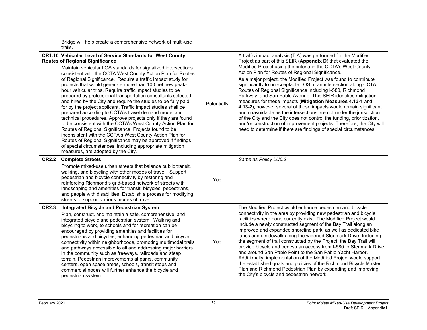|              | Bridge will help create a comprehensive network of multi-use<br>trails.                                                                                                                                                                                                                                                                                                                                                                                                                                                                                                                                                                                                                                                                                                                                                                                                                                                                                                                                                                                                                                             |             |                                                                                                                                                                                                                                                                                                                                                                                                                                                                                                                                                                                                                                                                                                                                                                                                                                                                                                                                                              |
|--------------|---------------------------------------------------------------------------------------------------------------------------------------------------------------------------------------------------------------------------------------------------------------------------------------------------------------------------------------------------------------------------------------------------------------------------------------------------------------------------------------------------------------------------------------------------------------------------------------------------------------------------------------------------------------------------------------------------------------------------------------------------------------------------------------------------------------------------------------------------------------------------------------------------------------------------------------------------------------------------------------------------------------------------------------------------------------------------------------------------------------------|-------------|--------------------------------------------------------------------------------------------------------------------------------------------------------------------------------------------------------------------------------------------------------------------------------------------------------------------------------------------------------------------------------------------------------------------------------------------------------------------------------------------------------------------------------------------------------------------------------------------------------------------------------------------------------------------------------------------------------------------------------------------------------------------------------------------------------------------------------------------------------------------------------------------------------------------------------------------------------------|
|              | CR1.10 Vehicular Level of Service Standards for West County<br><b>Routes of Regional Significance</b><br>Maintain vehicular LOS standards for signalized intersections<br>consistent with the CCTA West County Action Plan for Routes<br>of Regional Significance. Require a traffic impact study for<br>projects that would generate more than 100 net new peak-<br>hour vehicular trips. Require traffic impact studies to be<br>prepared by professional transportation consultants selected<br>and hired by the City and require the studies to be fully paid<br>for by the project applicant. Traffic impact studies shall be<br>prepared according to CCTA's travel demand model and<br>technical procedures. Approve projects only if they are found<br>to be consistent with the CCTA's West County Action Plan for<br>Routes of Regional Significance. Projects found to be<br>inconsistent with the CCTA's West County Action Plan for<br>Routes of Regional Significance may be approved if findings<br>of special circumstances, including appropriate mitigation<br>measures, are adopted by the City. | Potentially | A traffic impact analysis (TIA) was performed for the Modified<br>Project as part of this SEIR (Appendix D) that evaluated the<br>Modified Project using the criteria in the CCTA's West County<br>Action Plan for Routes of Regional Significance.<br>As a major project, the Modified Project was found to contribute<br>significantly to unacceptable LOS at an intersection along CCTA<br>Routes of Regional Significance including I-580, Richmond<br>Parkway, and San Pablo Avenue. This SEIR identifies mitigation<br>measures for these impacts (Mitigation Measures 4.13-1 and<br>4.13-2), however several of these impacts would remain significant<br>and unavoidable as the intersections are not under the jurisdiction<br>of the City and the City does not control the funding, prioritization,<br>and/or construction of improvement projects. Therefore, the City will<br>need to determine if there are findings of special circumstances. |
| <b>CR2.2</b> | <b>Complete Streets</b><br>Promote mixed-use urban streets that balance public transit,<br>walking, and bicycling with other modes of travel. Support<br>pedestrian and bicycle connectivity by restoring and<br>reinforcing Richmond's grid-based network of streets with<br>landscaping and amenities for transit, bicycles, pedestrians,<br>and people with disabilities. Establish a process for modifying<br>streets to support various modes of travel.                                                                                                                                                                                                                                                                                                                                                                                                                                                                                                                                                                                                                                                       | Yes         | Same as Policy LU6.2                                                                                                                                                                                                                                                                                                                                                                                                                                                                                                                                                                                                                                                                                                                                                                                                                                                                                                                                         |
| <b>CR2.3</b> | <b>Integrated Bicycle and Pedestrian System</b><br>Plan, construct, and maintain a safe, comprehensive, and<br>integrated bicycle and pedestrian system. Walking and<br>bicycling to work, to schools and for recreation can be<br>encouraged by providing amenities and facilities for<br>pedestrians and bicycles, enhancing pedestrian and bicycle<br>connectivity within neighborhoods, promoting multimodal trails<br>and pathways accessible to all and addressing major barriers<br>in the community such as freeways, railroads and steep<br>terrain. Pedestrian improvements at parks, community<br>centers, open space areas, schools, transit stops and<br>commercial nodes will further enhance the bicycle and<br>pedestrian system.                                                                                                                                                                                                                                                                                                                                                                   | Yes         | The Modified Project would enhance pedestrian and bicycle<br>connectivity in the area by providing new pedestrian and bicycle<br>facilities where none currently exist. The Modified Project would<br>include a newly constructed segment of the Bay Trail along an<br>improved and expanded shoreline park, as well as dedicated bike<br>lanes and a sidewalk along the widened Stenmark Drive. Including<br>the segment of trail constructed by the Project, the Bay Trail will<br>provide bicycle and pedestrian access from I-580 to Stenmark Drive<br>and around San Pablo Point to the San Pablo Yacht Harbor.<br>Additionally, implementation of the Modified Project would support<br>the established goals and policies of the Richmond Bicycle Master<br>Plan and Richmond Pedestrian Plan by expanding and improving<br>the City's bicycle and pedestrian network.                                                                                |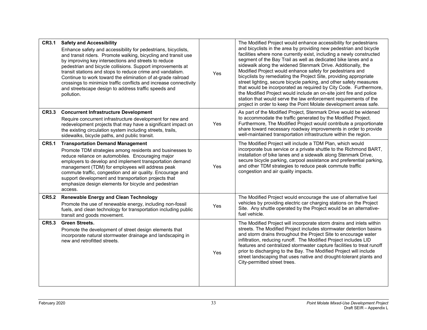| <b>CR3.1</b> | <b>Safety and Accessibility</b><br>Enhance safety and accessibility for pedestrians, bicyclists,<br>and transit riders. Promote walking, bicycling and transit use<br>by improving key intersections and streets to reduce<br>pedestrian and bicycle collisions. Support improvements at<br>transit stations and stops to reduce crime and vandalism.<br>Continue to work toward the elimination of at-grade railroad<br>crossings to minimize traffic conflicts and increase connectivity<br>and streetscape design to address traffic speeds and<br>pollution. | Yes | The Modified Project would enhance accessibility for pedestrians<br>and bicyclists in the area by providing new pedestrian and bicycle<br>facilities where none currently exist, including a newly constructed<br>segment of the Bay Trail as well as dedicated bike lanes and a<br>sidewalk along the widened Stenmark Drive. Additionally, the<br>Modified Project would enhance safety for pedestrians and<br>bicyclists by remediating the Project Site, providing appropriate<br>street lighting, secure bicycle parking, and other safety measures<br>that would be incorporated as required by City Code. Furthermore,<br>the Modified Project would include an on-site joint fire and police<br>station that would serve the law enforcement requirements of the<br>project in order to keep the Point Molate development areas safe. |
|--------------|------------------------------------------------------------------------------------------------------------------------------------------------------------------------------------------------------------------------------------------------------------------------------------------------------------------------------------------------------------------------------------------------------------------------------------------------------------------------------------------------------------------------------------------------------------------|-----|-----------------------------------------------------------------------------------------------------------------------------------------------------------------------------------------------------------------------------------------------------------------------------------------------------------------------------------------------------------------------------------------------------------------------------------------------------------------------------------------------------------------------------------------------------------------------------------------------------------------------------------------------------------------------------------------------------------------------------------------------------------------------------------------------------------------------------------------------|
| <b>CR3.3</b> | <b>Concurrent Infrastructure Development</b><br>Require concurrent infrastructure development for new and<br>redevelopment projects that may have a significant impact on<br>the existing circulation system including streets, trails,<br>sidewalks, bicycle paths, and public transit.                                                                                                                                                                                                                                                                         | Yes | As part of the Modified Project, Stenmark Drive would be widened<br>to accommodate the traffic generated by the Modified Project.<br>Furthermore, The Modified Project would contribute a proportionate<br>share toward necessary roadway improvements in order to provide<br>well-maintained transportation infrastructure within the region.                                                                                                                                                                                                                                                                                                                                                                                                                                                                                                |
| <b>CR5.1</b> | <b>Transportation Demand Management</b><br>Promote TDM strategies among residents and businesses to<br>reduce reliance on automobiles. Encouraging major<br>employers to develop and implement transportation demand<br>management (TDM) for employees will address peak<br>commute traffic, congestion and air quality. Encourage and<br>support development and transportation projects that<br>emphasize design elements for bicycle and pedestrian<br>access.                                                                                                | Yes | The Modified Project will include a TDM Plan, which would<br>incorporate bus service or a private shuttle to the Richmond BART,<br>installation of bike lanes and a sidewalk along Stenmark Drive,<br>secure bicycle parking, carpool assistance and preferential parking,<br>and other TDM strategies to reduce peak commute traffic<br>congestion and air quality impacts.                                                                                                                                                                                                                                                                                                                                                                                                                                                                  |
| <b>CR5.2</b> | <b>Renewable Energy and Clean Technology</b><br>Promote the use of renewable energy, including non-fossil<br>fuels, and clean technology for transportation including public<br>transit and goods movement.                                                                                                                                                                                                                                                                                                                                                      | Yes | The Modified Project would encourage the use of alternative fuel<br>vehicles by providing electric car charging stations on the Project<br>Site. Any shuttle operated by the Project would be an alternative-<br>fuel vehicle.                                                                                                                                                                                                                                                                                                                                                                                                                                                                                                                                                                                                                |
| <b>CR5.3</b> | <b>Green Streets.</b><br>Promote the development of street design elements that<br>incorporate natural stormwater drainage and landscaping in<br>new and retrofitted streets.                                                                                                                                                                                                                                                                                                                                                                                    | Yes | The Modified Project will incorporate storm drains and inlets within<br>streets. The Modified Project includes stormwater detention basins<br>and storm drains throughout the Project Site to encourage water<br>infiltration, reducing runoff. The Modified Project includes LID<br>features and centralized stormwater capture facilities to treat runoff<br>prior to discharging to the Bay. The Modified Project will include<br>street landscaping that uses native and drought-tolerant plants and<br>City-permitted street trees.                                                                                                                                                                                                                                                                                                      |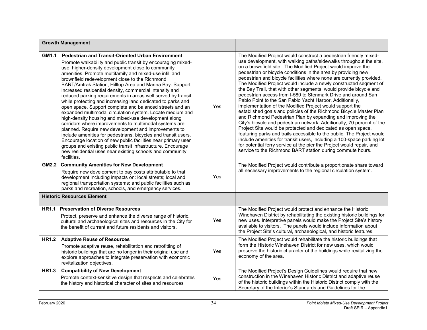|              | <b>Growth Management</b>                                                                                                                                                                                                                                                                                                                                                                                                                                                                                                                                                                                                                                                                                                                                                                                                                                                                                                                                                                                                                                                                                                     |     |                                                                                                                                                                                                                                                                                                                                                                                                                                                                                                                                                                                                                                                                                                                                                                                                                                                                                                                                                                                                                                                                                                                                                                                                                                                                |
|--------------|------------------------------------------------------------------------------------------------------------------------------------------------------------------------------------------------------------------------------------------------------------------------------------------------------------------------------------------------------------------------------------------------------------------------------------------------------------------------------------------------------------------------------------------------------------------------------------------------------------------------------------------------------------------------------------------------------------------------------------------------------------------------------------------------------------------------------------------------------------------------------------------------------------------------------------------------------------------------------------------------------------------------------------------------------------------------------------------------------------------------------|-----|----------------------------------------------------------------------------------------------------------------------------------------------------------------------------------------------------------------------------------------------------------------------------------------------------------------------------------------------------------------------------------------------------------------------------------------------------------------------------------------------------------------------------------------------------------------------------------------------------------------------------------------------------------------------------------------------------------------------------------------------------------------------------------------------------------------------------------------------------------------------------------------------------------------------------------------------------------------------------------------------------------------------------------------------------------------------------------------------------------------------------------------------------------------------------------------------------------------------------------------------------------------|
| GM1.1        | Pedestrian and Transit-Oriented Urban Environment<br>Promote walkability and public transit by encouraging mixed-<br>use, higher-density development close to community<br>amenities. Promote multifamily and mixed-use infill and<br>brownfield redevelopment close to the Richmond<br>BART/Amtrak Station, Hilltop Area and Marina Bay. Support<br>increased residential density, commercial intensity and<br>reduced parking requirements in areas well served by transit<br>while protecting and increasing land dedicated to parks and<br>open space. Support complete and balanced streets and an<br>expanded multimodal circulation system. Locate medium and<br>high-density housing and mixed-use development along<br>corridors where improvements to multimodal systems are<br>planned. Require new development and improvements to<br>include amenities for pedestrians, bicycles and transit users.<br>Encourage location of new public facilities near primary user<br>groups and existing public transit infrastructure. Encourage<br>new residential uses near existing schools and community<br>facilities. | Yes | The Modified Project would construct a pedestrian friendly mixed-<br>use development, with walking paths/sidewalks throughout the site,<br>on a brownfield site. The Modified Project would improve the<br>pedestrian or bicycle conditions in the area by providing new<br>pedestrian and bicycle facilities where none are currently provided.<br>The Modified Project would include a newly constructed segment of<br>the Bay Trail, that with other segments, would provide bicycle and<br>pedestrian access from I-580 to Stenmark Drive and around San<br>Pablo Point to the San Pablo Yacht Harbor. Additionally,<br>implementation of the Modified Project would support the<br>established goals and policies of the Richmond Bicycle Master Plan<br>and Richmond Pedestrian Plan by expanding and improving the<br>City's bicycle and pedestrian network. Additionally, 70 percent of the<br>Project Site would be protected and dedicated as open space,<br>featuring parks and trails accessible to the public. The Project would<br>include amenities for transit users, including a 100-space parking lot<br>for potential ferry service at the pier the Project would repair, and<br>service to the Richmond BART station during commute hours. |
| <b>GM2.2</b> | <b>Community Amenities for New Development</b><br>Require new development to pay costs attributable to that<br>development including impacts on: local streets; local and<br>regional transportation systems; and public facilities such as<br>parks and recreation, schools, and emergency services.                                                                                                                                                                                                                                                                                                                                                                                                                                                                                                                                                                                                                                                                                                                                                                                                                        | Yes | The Modified Project would contribute a proportionate share toward<br>all necessary improvements to the regional circulation system.                                                                                                                                                                                                                                                                                                                                                                                                                                                                                                                                                                                                                                                                                                                                                                                                                                                                                                                                                                                                                                                                                                                           |
|              | <b>Historic Resources Element</b>                                                                                                                                                                                                                                                                                                                                                                                                                                                                                                                                                                                                                                                                                                                                                                                                                                                                                                                                                                                                                                                                                            |     |                                                                                                                                                                                                                                                                                                                                                                                                                                                                                                                                                                                                                                                                                                                                                                                                                                                                                                                                                                                                                                                                                                                                                                                                                                                                |
| <b>HR1.1</b> | <b>Preservation of Diverse Resources</b><br>Protect, preserve and enhance the diverse range of historic,<br>cultural and archaeological sites and resources in the City for<br>the benefit of current and future residents and visitors.                                                                                                                                                                                                                                                                                                                                                                                                                                                                                                                                                                                                                                                                                                                                                                                                                                                                                     | Yes | The Modified Project would protect and enhance the Historic<br>Winehaven District by rehabilitating the existing historic buildings for<br>new uses. Interpretive panels would make the Project Site's history<br>available to visitors. The panels would include information about<br>the Project Site's cultural, archaeological, and historic features.                                                                                                                                                                                                                                                                                                                                                                                                                                                                                                                                                                                                                                                                                                                                                                                                                                                                                                     |
| <b>HR1.2</b> | <b>Adaptive Reuse of Resources</b><br>Promote adaptive reuse, rehabilitation and retrofitting of<br>historic buildings that are no longer in their original use and<br>explore approaches to integrate preservation with economic<br>revitalization objectives.                                                                                                                                                                                                                                                                                                                                                                                                                                                                                                                                                                                                                                                                                                                                                                                                                                                              | Yes | The Modified Project would rehabilitate the historic buildings that<br>form the Historic Winehaven District for new uses, which would<br>preserve the historic character of the buildings while revitalizing the<br>economy of the area.                                                                                                                                                                                                                                                                                                                                                                                                                                                                                                                                                                                                                                                                                                                                                                                                                                                                                                                                                                                                                       |
| <b>HR1.3</b> | <b>Compatibility of New Development</b><br>Promote context-sensitive design that respects and celebrates<br>the history and historical character of sites and resources                                                                                                                                                                                                                                                                                                                                                                                                                                                                                                                                                                                                                                                                                                                                                                                                                                                                                                                                                      | Yes | The Modified Project's Design Guidelines would require that new<br>construction in the Winehaven Historic District and adaptive reuse<br>of the historic buildings within the Historic District comply with the<br>Secretary of the Interior's Standards and Guidelines for the                                                                                                                                                                                                                                                                                                                                                                                                                                                                                                                                                                                                                                                                                                                                                                                                                                                                                                                                                                                |